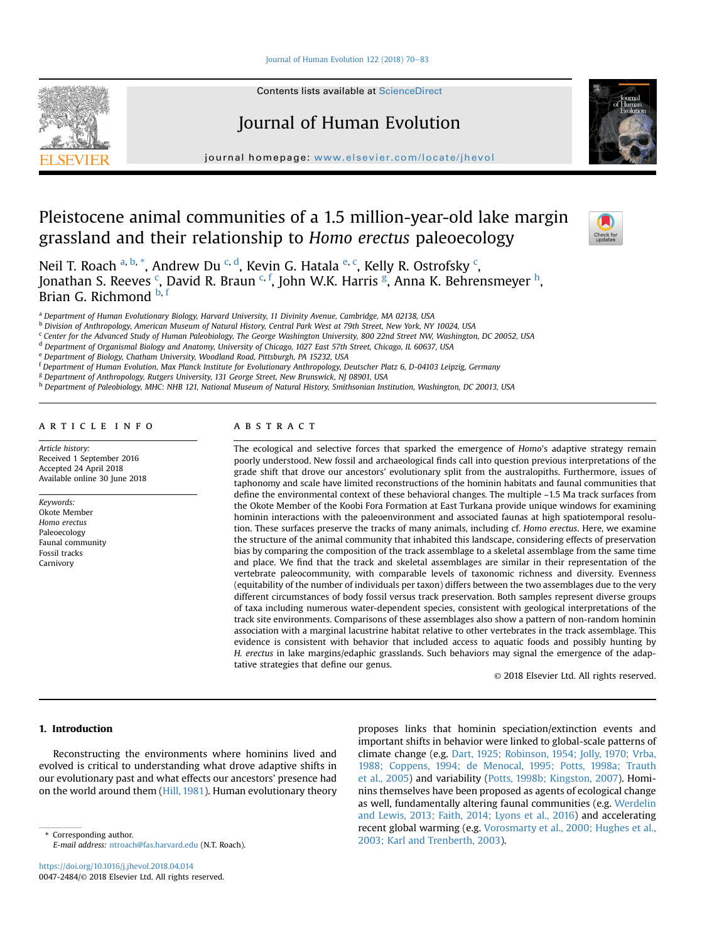## [Journal of Human Evolution 122 \(2018\) 70](https://doi.org/10.1016/j.jhevol.2018.04.014)-[83](https://doi.org/10.1016/j.jhevol.2018.04.014)



Contents lists available at ScienceDirect

# Journal of Human Evolution



journal homepage: [www.elsevier.com/locate/jhevol](http://www.elsevier.com/locate/jhevol)

# Pleistocene animal communities of a 1.5 million-year-old lake margin grassland and their relationship to Homo erectus paleoecology



Neil T. Roach <sup>a, b, \*</sup>, Andrew Du <sup>c, d</sup>, Kevin G. Hatala <sup>e, c</sup>, Kelly R. Ostrofsky <sup>c</sup>, Jonathan S. Reeves <sup>c</sup>, David R. Braun <sup>c, f</sup>, John W.K. Harris <sup>g</sup>, Anna K. Behrensmeyer <sup>h</sup>, Brian G. Richmond b, f

<sup>a</sup> Department of Human Evolutionary Biology, Harvard University, 11 Divinity Avenue, Cambridge, MA 02138, USA

<sup>b</sup> Division of Anthropology, American Museum of Natural History, Central Park West at 79th Street, New York, NY 10024, USA

<sup>c</sup> Center for the Advanced Study of Human Paleobiology, The George Washington University, 800 22nd Street NW, Washington, DC 20052, USA

<sup>d</sup> Department of Organismal Biology and Anatomy, University of Chicago, 1027 East 57th Street, Chicago, IL 60637, USA

<sup>e</sup> Department of Biology, Chatham University, Woodland Road, Pittsburgh, PA 15232, USA

<sup>f</sup> Department of Human Evolution, Max Planck Institute for Evolutionary Anthropology, Deutscher Platz 6, D-04103 Leipzig, Germany

<sup>g</sup> Department of Anthropology, Rutgers University, 131 George Street, New Brunswick, NJ 08901, USA

h Department of Paleobiology, MHC: NHB 121, National Museum of Natural History, Smithsonian Institution, Washington, DC 20013, USA

article info

Article history: Received 1 September 2016 Accepted 24 April 2018 Available online 30 June 2018

Keywords: Okote Member Homo erectus Paleoecology Faunal community Fossil tracks Carnivory

# ABSTRACT

The ecological and selective forces that sparked the emergence of Homo's adaptive strategy remain poorly understood. New fossil and archaeological finds call into question previous interpretations of the grade shift that drove our ancestors' evolutionary split from the australopiths. Furthermore, issues of taphonomy and scale have limited reconstructions of the hominin habitats and faunal communities that define the environmental context of these behavioral changes. The multiple ~1.5 Ma track surfaces from the Okote Member of the Koobi Fora Formation at East Turkana provide unique windows for examining hominin interactions with the paleoenvironment and associated faunas at high spatiotemporal resolution. These surfaces preserve the tracks of many animals, including cf. Homo erectus. Here, we examine the structure of the animal community that inhabited this landscape, considering effects of preservation bias by comparing the composition of the track assemblage to a skeletal assemblage from the same time and place. We find that the track and skeletal assemblages are similar in their representation of the vertebrate paleocommunity, with comparable levels of taxonomic richness and diversity. Evenness (equitability of the number of individuals per taxon) differs between the two assemblages due to the very different circumstances of body fossil versus track preservation. Both samples represent diverse groups of taxa including numerous water-dependent species, consistent with geological interpretations of the track site environments. Comparisons of these assemblages also show a pattern of non-random hominin association with a marginal lacustrine habitat relative to other vertebrates in the track assemblage. This evidence is consistent with behavior that included access to aquatic foods and possibly hunting by H. erectus in lake margins/edaphic grasslands. Such behaviors may signal the emergence of the adaptative strategies that define our genus.

© 2018 Elsevier Ltd. All rights reserved.

# 1. Introduction

Reconstructing the environments where hominins lived and evolved is critical to understanding what drove adaptive shifts in our evolutionary past and what effects our ancestors' presence had on the world around them [\(Hill, 1981](#page-11-0)). Human evolutionary theory

proposes links that hominin speciation/extinction events and important shifts in behavior were linked to global-scale patterns of climate change (e.g. [Dart, 1925; Robinson, 1954; Jolly, 1970; Vrba,](#page-11-0) [1988; Coppens, 1994; de Menocal, 1995; Potts, 1998a; Trauth](#page-11-0) [et al., 2005\)](#page-11-0) and variability [\(Potts, 1998b; Kingston, 2007\)](#page-12-0). Hominins themselves have been proposed as agents of ecological change as well, fundamentally altering faunal communities (e.g. [Werdelin](#page-13-0) [and Lewis, 2013; Faith, 2014; Lyons et al., 2016](#page-13-0)) and accelerating recent global warming (e.g. [Vorosmarty et al., 2000; Hughes et al.,](#page-12-0) \* Corresponding author.<br>
E mail address: presch@fschappad.edu (NT Boach). [2003; Karl and Trenberth, 2003\)](#page-12-0).

<https://doi.org/10.1016/j.jhevol.2018.04.014>

E-mail address: [ntroach@fas.harvard.edu](mailto:ntroach@fas.harvard.edu) (N.T. Roach).

0047-2484/© 2018 Elsevier Ltd. All rights reserved.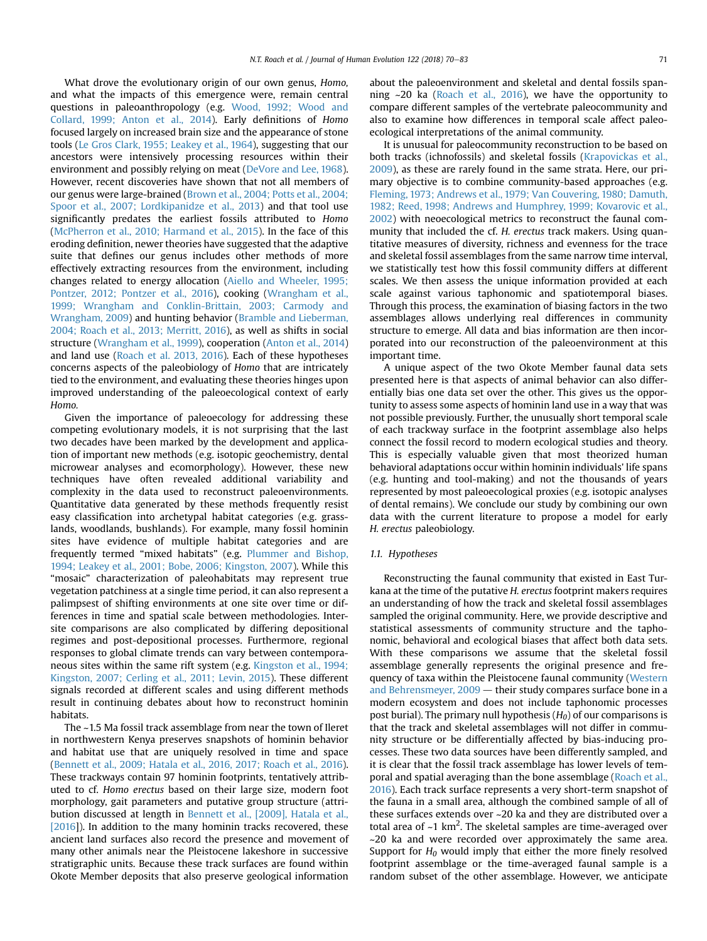What drove the evolutionary origin of our own genus, Homo, and what the impacts of this emergence were, remain central questions in paleoanthropology (e.g. [Wood, 1992; Wood and](#page-13-0) [Collard, 1999; Anton et al., 2014](#page-13-0)). Early definitions of Homo focused largely on increased brain size and the appearance of stone tools [\(Le Gros Clark, 1955; Leakey et al., 1964\)](#page-12-0), suggesting that our ancestors were intensively processing resources within their environment and possibly relying on meat ([DeVore and Lee, 1968\)](#page-11-0). However, recent discoveries have shown that not all members of our genus were large-brained ([Brown et al., 2004; Potts et al., 2004;](#page-11-0) [Spoor et al., 2007; Lordkipanidze et al., 2013](#page-11-0)) and that tool use significantly predates the earliest fossils attributed to Homo ([McPherron et al., 2010; Harmand et al., 2015\)](#page-12-0). In the face of this eroding definition, newer theories have suggested that the adaptive suite that defines our genus includes other methods of more effectively extracting resources from the environment, including changes related to energy allocation ([Aiello and Wheeler, 1995;](#page-10-0) [Pontzer, 2012; Pontzer et al., 2016\)](#page-10-0), cooking [\(Wrangham et al.,](#page-13-0) [1999; Wrangham and Conklin-Brittain, 2003; Carmody and](#page-13-0) [Wrangham, 2009](#page-13-0)) and hunting behavior [\(Bramble and Lieberman,](#page-11-0) [2004; Roach et al., 2013; Merritt, 2016\)](#page-11-0), as well as shifts in social structure [\(Wrangham et al., 1999](#page-13-0)), cooperation ([Anton et al., 2014\)](#page-10-0) and land use ([Roach et al. 2013, 2016\)](#page-12-0). Each of these hypotheses concerns aspects of the paleobiology of Homo that are intricately tied to the environment, and evaluating these theories hinges upon improved understanding of the paleoecological context of early Homo.

Given the importance of paleoecology for addressing these competing evolutionary models, it is not surprising that the last two decades have been marked by the development and application of important new methods (e.g. isotopic geochemistry, dental microwear analyses and ecomorphology). However, these new techniques have often revealed additional variability and complexity in the data used to reconstruct paleoenvironments. Quantitative data generated by these methods frequently resist easy classification into archetypal habitat categories (e.g. grasslands, woodlands, bushlands). For example, many fossil hominin sites have evidence of multiple habitat categories and are frequently termed "mixed habitats" (e.g. [Plummer and Bishop,](#page-12-0) [1994; Leakey et al., 2001; Bobe, 2006; Kingston, 2007\)](#page-12-0). While this "mosaic" characterization of paleohabitats may represent true vegetation patchiness at a single time period, it can also represent a palimpsest of shifting environments at one site over time or differences in time and spatial scale between methodologies. Intersite comparisons are also complicated by differing depositional regimes and post-depositional processes. Furthermore, regional responses to global climate trends can vary between contemporaneous sites within the same rift system (e.g. [Kingston et al., 1994;](#page-11-0) [Kingston, 2007; Cerling et al., 2011; Levin, 2015\)](#page-11-0). These different signals recorded at different scales and using different methods result in continuing debates about how to reconstruct hominin habitats.

The ~1.5 Ma fossil track assemblage from near the town of Ileret in northwestern Kenya preserves snapshots of hominin behavior and habitat use that are uniquely resolved in time and space ([Bennett et al., 2009; Hatala et al., 2016, 2017; Roach et al., 2016\)](#page-11-0). These trackways contain 97 hominin footprints, tentatively attributed to cf. Homo erectus based on their large size, modern foot morphology, gait parameters and putative group structure (attribution discussed at length in [Bennett et al., \[2009\], Hatala et al.,](#page-11-0) [\[2016\]](#page-11-0)). In addition to the many hominin tracks recovered, these ancient land surfaces also record the presence and movement of many other animals near the Pleistocene lakeshore in successive stratigraphic units. Because these track surfaces are found within Okote Member deposits that also preserve geological information

about the paleoenvironment and skeletal and dental fossils spanning ~20 ka ([Roach et al., 2016](#page-12-0)), we have the opportunity to compare different samples of the vertebrate paleocommunity and also to examine how differences in temporal scale affect paleoecological interpretations of the animal community.

It is unusual for paleocommunity reconstruction to be based on both tracks (ichnofossils) and skeletal fossils [\(Krapovickas et al.,](#page-11-0) [2009\)](#page-11-0), as these are rarely found in the same strata. Here, our primary objective is to combine community-based approaches (e.g. [Fleming, 1973; Andrews et al., 1979; Van Couvering, 1980; Damuth,](#page-11-0) [1982; Reed, 1998; Andrews and Humphrey, 1999; Kovarovic et al.,](#page-11-0) [2002\)](#page-11-0) with neoecological metrics to reconstruct the faunal community that included the cf. H. erectus track makers. Using quantitative measures of diversity, richness and evenness for the trace and skeletal fossil assemblages from the same narrow time interval, we statistically test how this fossil community differs at different scales. We then assess the unique information provided at each scale against various taphonomic and spatiotemporal biases. Through this process, the examination of biasing factors in the two assemblages allows underlying real differences in community structure to emerge. All data and bias information are then incorporated into our reconstruction of the paleoenvironment at this important time.

A unique aspect of the two Okote Member faunal data sets presented here is that aspects of animal behavior can also differentially bias one data set over the other. This gives us the opportunity to assess some aspects of hominin land use in a way that was not possible previously. Further, the unusually short temporal scale of each trackway surface in the footprint assemblage also helps connect the fossil record to modern ecological studies and theory. This is especially valuable given that most theorized human behavioral adaptations occur within hominin individuals' life spans (e.g. hunting and tool-making) and not the thousands of years represented by most paleoecological proxies (e.g. isotopic analyses of dental remains). We conclude our study by combining our own data with the current literature to propose a model for early H. erectus paleobiology.

## 1.1. Hypotheses

Reconstructing the faunal community that existed in East Turkana at the time of the putative H. erectus footprint makers requires an understanding of how the track and skeletal fossil assemblages sampled the original community. Here, we provide descriptive and statistical assessments of community structure and the taphonomic, behavioral and ecological biases that affect both data sets. With these comparisons we assume that the skeletal fossil assemblage generally represents the original presence and frequency of taxa within the Pleistocene faunal community ([Western](#page-13-0) and Behrensmeyer,  $2009$  – their study compares surface bone in a modern ecosystem and does not include taphonomic processes post burial). The primary null hypothesis  $(H_0)$  of our comparisons is that the track and skeletal assemblages will not differ in community structure or be differentially affected by bias-inducing processes. These two data sources have been differently sampled, and it is clear that the fossil track assemblage has lower levels of temporal and spatial averaging than the bone assemblage ([Roach et al.,](#page-12-0) [2016\)](#page-12-0). Each track surface represents a very short-term snapshot of the fauna in a small area, although the combined sample of all of these surfaces extends over ~20 ka and they are distributed over a total area of  $\sim$ 1 km<sup>2</sup>. The skeletal samples are time-averaged over  $\sim$ 20 ka and were recorded over approximately the same area. Support for  $H_0$  would imply that either the more finely resolved footprint assemblage or the time-averaged faunal sample is a random subset of the other assemblage. However, we anticipate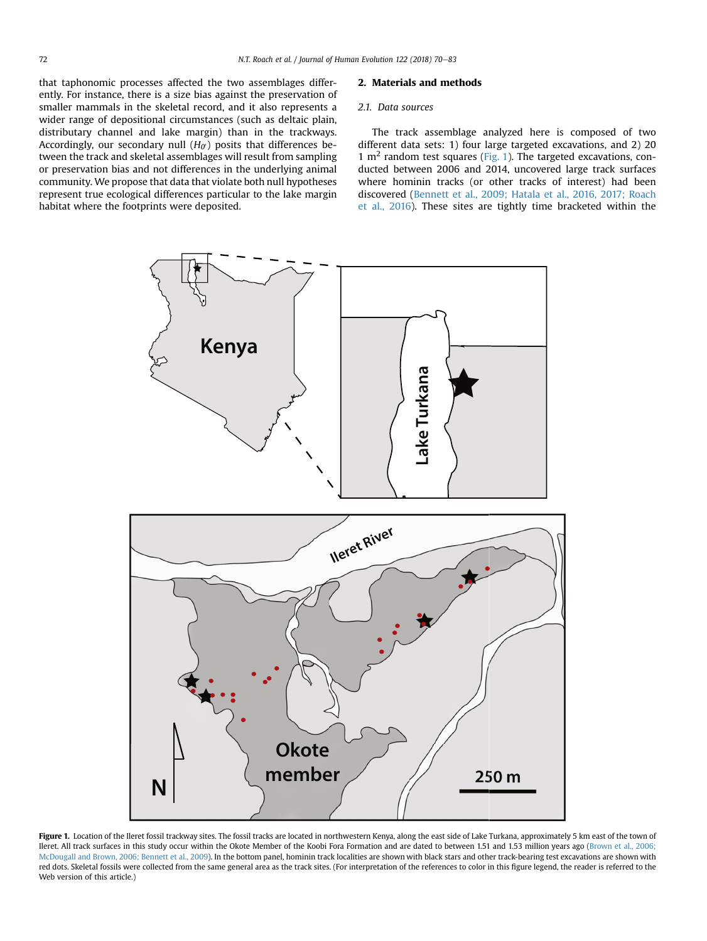that taphonomic processes affected the two assemblages differently. For instance, there is a size bias against the preservation of smaller mammals in the skeletal record, and it also represents a wider range of depositional circumstances (such as deltaic plain, distributary channel and lake margin) than in the trackways. Accordingly, our secondary null  $(H<sub>0</sub>)$  posits that differences between the track and skeletal assemblages will result from sampling or preservation bias and not differences in the underlying animal community. We propose that data that violate both null hypotheses represent true ecological differences particular to the lake margin habitat where the footprints were deposited.

## 2. Materials and methods

# 2.1. Data sources

The track assemblage analyzed here is composed of two different data sets: 1) four large targeted excavations, and 2) 20 1  $m<sup>2</sup>$  random test squares (Fig. 1). The targeted excavations, conducted between 2006 and 2014, uncovered large track surfaces where hominin tracks (or other tracks of interest) had been discovered ([Bennett et al., 2009; Hatala et al., 2016, 2017; Roach](#page-11-0) [et al., 2016](#page-11-0)). These sites are tightly time bracketed within the



Figure 1. Location of the Ileret fossil trackway sites. The fossil tracks are located in northwestern Kenya, along the east side of Lake Turkana, approximately 5 km east of the town of Ileret. All track surfaces in this study occur within the Okote Member of the Koobi Fora Formation and are dated to between 1.51 and 1.53 million years ago ([Brown et al., 2006;](#page-11-0) [McDougall and Brown, 2006; Bennett et al., 2009](#page-11-0)). In the bottom panel, hominin track localities are shown with black stars and other track-bearing test excavations are shown with red dots. Skeletal fossils were collected from the same general area as the track sites. (For interpretation of the references to color in this figure legend, the reader is referred to the Web version of this article.)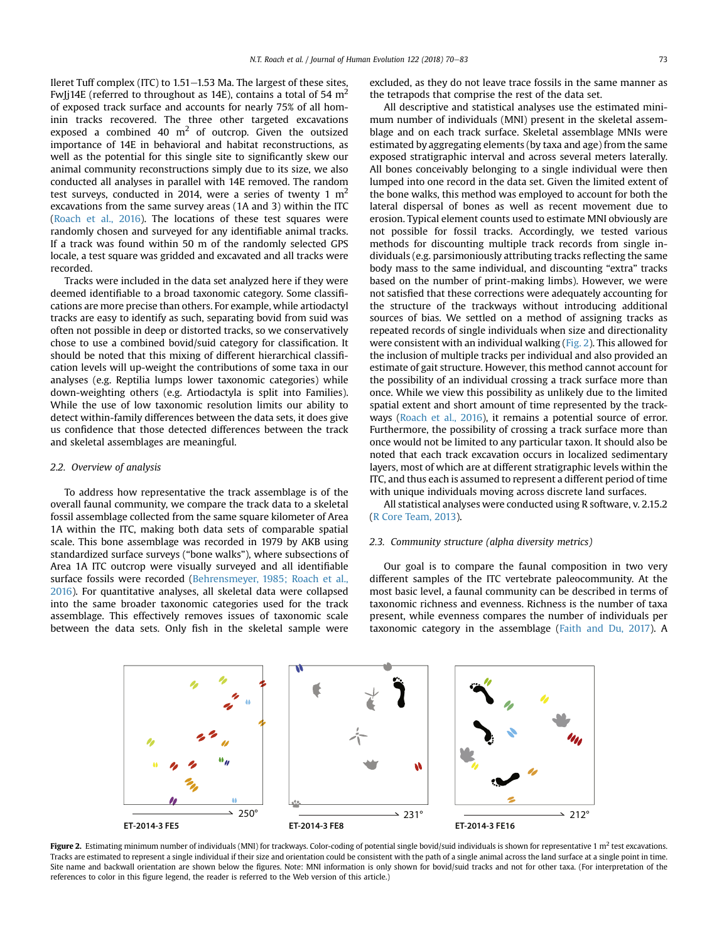Ileret Tuff complex (ITC) to  $1.51-1.53$  Ma. The largest of these sites, FwJj14E (referred to throughout as 14E), contains a total of 54  $m<sup>2</sup>$ of exposed track surface and accounts for nearly 75% of all hominin tracks recovered. The three other targeted excavations exposed a combined 40  $m^2$  of outcrop. Given the outsized importance of 14E in behavioral and habitat reconstructions, as well as the potential for this single site to significantly skew our animal community reconstructions simply due to its size, we also conducted all analyses in parallel with 14E removed. The random test surveys, conducted in 2014, were a series of twenty 1  $m<sup>2</sup>$ excavations from the same survey areas (1A and 3) within the ITC ([Roach et al., 2016](#page-12-0)). The locations of these test squares were randomly chosen and surveyed for any identifiable animal tracks. If a track was found within 50 m of the randomly selected GPS locale, a test square was gridded and excavated and all tracks were recorded.

Tracks were included in the data set analyzed here if they were deemed identifiable to a broad taxonomic category. Some classifications are more precise than others. For example, while artiodactyl tracks are easy to identify as such, separating bovid from suid was often not possible in deep or distorted tracks, so we conservatively chose to use a combined bovid/suid category for classification. It should be noted that this mixing of different hierarchical classification levels will up-weight the contributions of some taxa in our analyses (e.g. Reptilia lumps lower taxonomic categories) while down-weighting others (e.g. Artiodactyla is split into Families). While the use of low taxonomic resolution limits our ability to detect within-family differences between the data sets, it does give us confidence that those detected differences between the track and skeletal assemblages are meaningful.

## 2.2. Overview of analysis

To address how representative the track assemblage is of the overall faunal community, we compare the track data to a skeletal fossil assemblage collected from the same square kilometer of Area 1A within the ITC, making both data sets of comparable spatial scale. This bone assemblage was recorded in 1979 by AKB using standardized surface surveys ("bone walks"), where subsections of Area 1A ITC outcrop were visually surveyed and all identifiable surface fossils were recorded [\(Behrensmeyer, 1985; Roach et al.,](#page-10-0) [2016\)](#page-10-0). For quantitative analyses, all skeletal data were collapsed into the same broader taxonomic categories used for the track assemblage. This effectively removes issues of taxonomic scale between the data sets. Only fish in the skeletal sample were excluded, as they do not leave trace fossils in the same manner as the tetrapods that comprise the rest of the data set.

All descriptive and statistical analyses use the estimated minimum number of individuals (MNI) present in the skeletal assemblage and on each track surface. Skeletal assemblage MNIs were estimated by aggregating elements (by taxa and age) from the same exposed stratigraphic interval and across several meters laterally. All bones conceivably belonging to a single individual were then lumped into one record in the data set. Given the limited extent of the bone walks, this method was employed to account for both the lateral dispersal of bones as well as recent movement due to erosion. Typical element counts used to estimate MNI obviously are not possible for fossil tracks. Accordingly, we tested various methods for discounting multiple track records from single individuals (e.g. parsimoniously attributing tracks reflecting the same body mass to the same individual, and discounting "extra" tracks based on the number of print-making limbs). However, we were not satisfied that these corrections were adequately accounting for the structure of the trackways without introducing additional sources of bias. We settled on a method of assigning tracks as repeated records of single individuals when size and directionality were consistent with an individual walking (Fig. 2). This allowed for the inclusion of multiple tracks per individual and also provided an estimate of gait structure. However, this method cannot account for the possibility of an individual crossing a track surface more than once. While we view this possibility as unlikely due to the limited spatial extent and short amount of time represented by the trackways [\(Roach et al., 2016](#page-12-0)), it remains a potential source of error. Furthermore, the possibility of crossing a track surface more than once would not be limited to any particular taxon. It should also be noted that each track excavation occurs in localized sedimentary layers, most of which are at different stratigraphic levels within the ITC, and thus each is assumed to represent a different period of time with unique individuals moving across discrete land surfaces.

All statistical analyses were conducted using R software, v. 2.15.2 ([R Core Team, 2013](#page-12-0)).

## 2.3. Community structure (alpha diversity metrics)

Our goal is to compare the faunal composition in two very different samples of the ITC vertebrate paleocommunity. At the most basic level, a faunal community can be described in terms of taxonomic richness and evenness. Richness is the number of taxa present, while evenness compares the number of individuals per taxonomic category in the assemblage ([Faith and Du, 2017\)](#page-11-0). A



Figure 2. Estimating minimum number of individuals (MNI) for trackways. Color-coding of potential single bovid/suid individuals is shown for representative 1 m<sup>2</sup> test excavations. Tracks are estimated to represent a single individual if their size and orientation could be consistent with the path of a single animal across the land surface at a single point in time. Site name and backwall orientation are shown below the figures. Note: MNI information is only shown for bovid/suid tracks and not for other taxa. (For interpretation of the references to color in this figure legend, the reader is referred to the Web version of this article.)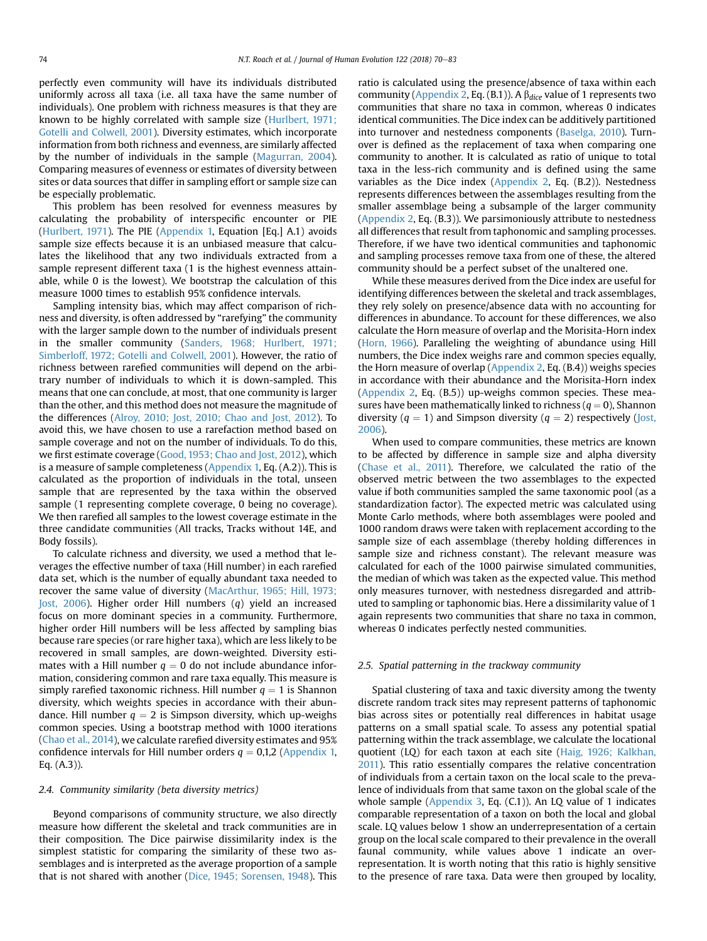perfectly even community will have its individuals distributed uniformly across all taxa (i.e. all taxa have the same number of individuals). One problem with richness measures is that they are known to be highly correlated with sample size [\(Hurlbert, 1971;](#page-11-0) [Gotelli and Colwell, 2001](#page-11-0)). Diversity estimates, which incorporate information from both richness and evenness, are similarly affected by the number of individuals in the sample [\(Magurran, 2004\)](#page-12-0). Comparing measures of evenness or estimates of diversity between sites or data sources that differ in sampling effort or sample size can be especially problematic.

This problem has been resolved for evenness measures by calculating the probability of interspecific encounter or PIE ([Hurlbert, 1971\)](#page-11-0). The PIE ([Appendix 1,](#page-10-0) Equation [Eq.] A.1) avoids sample size effects because it is an unbiased measure that calculates the likelihood that any two individuals extracted from a sample represent different taxa (1 is the highest evenness attainable, while 0 is the lowest). We bootstrap the calculation of this measure 1000 times to establish 95% confidence intervals.

Sampling intensity bias, which may affect comparison of richness and diversity, is often addressed by "rarefying" the community with the larger sample down to the number of individuals present in the smaller community ([Sanders, 1968; Hurlbert, 1971;](#page-12-0) [Simberloff, 1972; Gotelli and Colwell, 2001](#page-12-0)). However, the ratio of richness between rarefied communities will depend on the arbitrary number of individuals to which it is down-sampled. This means that one can conclude, at most, that one community is larger than the other, and this method does not measure the magnitude of the differences [\(Alroy, 2010; Jost, 2010; Chao and Jost, 2012\)](#page-10-0). To avoid this, we have chosen to use a rarefaction method based on sample coverage and not on the number of individuals. To do this, we first estimate coverage [\(Good, 1953; Chao and Jost, 2012\)](#page-11-0), which is a measure of sample completeness ([Appendix 1,](#page-10-0) Eq. (A.2)). This is calculated as the proportion of individuals in the total, unseen sample that are represented by the taxa within the observed sample (1 representing complete coverage, 0 being no coverage). We then rarefied all samples to the lowest coverage estimate in the three candidate communities (All tracks, Tracks without 14E, and Body fossils).

To calculate richness and diversity, we used a method that leverages the effective number of taxa (Hill number) in each rarefied data set, which is the number of equally abundant taxa needed to recover the same value of diversity ([MacArthur, 1965; Hill, 1973;](#page-12-0) [Jost, 2006\)](#page-12-0). Higher order Hill numbers (q) yield an increased focus on more dominant species in a community. Furthermore, higher order Hill numbers will be less affected by sampling bias because rare species (or rare higher taxa), which are less likely to be recovered in small samples, are down-weighted. Diversity estimates with a Hill number  $q = 0$  do not include abundance information, considering common and rare taxa equally. This measure is simply rarefied taxonomic richness. Hill number  $q = 1$  is Shannon diversity, which weights species in accordance with their abundance. Hill number  $q = 2$  is Simpson diversity, which up-weighs common species. Using a bootstrap method with 1000 iterations ([Chao et al., 2014\)](#page-11-0), we calculate rarefied diversity estimates and 95% confidence intervals for Hill number orders  $q = 0.1,2$  ([Appendix 1,](#page-10-0) Eq. (A.3)).

### 2.4. Community similarity (beta diversity metrics)

Beyond comparisons of community structure, we also directly measure how different the skeletal and track communities are in their composition. The Dice pairwise dissimilarity index is the simplest statistic for comparing the similarity of these two assemblages and is interpreted as the average proportion of a sample that is not shared with another ([Dice, 1945; Sorensen, 1948\)](#page-11-0). This ratio is calculated using the presence/absence of taxa within each community [\(Appendix 2](#page-10-0), Eq. (B.1)). A  $\beta_{dice}$  value of 1 represents two communities that share no taxa in common, whereas 0 indicates identical communities. The Dice index can be additively partitioned into turnover and nestedness components ([Baselga, 2010](#page-10-0)). Turnover is defined as the replacement of taxa when comparing one community to another. It is calculated as ratio of unique to total taxa in the less-rich community and is defined using the same variables as the Dice index ([Appendix 2](#page-10-0), Eq. (B.2)). Nestedness represents differences between the assemblages resulting from the smaller assemblage being a subsample of the larger community ([Appendix 2](#page-10-0), Eq. (B.3)). We parsimoniously attribute to nestedness all differences that result from taphonomic and sampling processes. Therefore, if we have two identical communities and taphonomic and sampling processes remove taxa from one of these, the altered community should be a perfect subset of the unaltered one.

While these measures derived from the Dice index are useful for identifying differences between the skeletal and track assemblages, they rely solely on presence/absence data with no accounting for differences in abundance. To account for these differences, we also calculate the Horn measure of overlap and the Morisita-Horn index ([Horn, 1966\)](#page-11-0). Paralleling the weighting of abundance using Hill numbers, the Dice index weighs rare and common species equally, the Horn measure of overlap ([Appendix 2](#page-10-0), Eq. (B.4)) weighs species in accordance with their abundance and the Morisita-Horn index ([Appendix 2,](#page-10-0) Eq. (B.5)) up-weighs common species. These measures have been mathematically linked to richness ( $q = 0$ ), Shannon diversity ( $q = 1$ ) and Simpson diversity ( $q = 2$ ) respectively [\(Jost,](#page-11-0) [2006](#page-11-0)).

When used to compare communities, these metrics are known to be affected by difference in sample size and alpha diversity ([Chase et al., 2011\)](#page-11-0). Therefore, we calculated the ratio of the observed metric between the two assemblages to the expected value if both communities sampled the same taxonomic pool (as a standardization factor). The expected metric was calculated using Monte Carlo methods, where both assemblages were pooled and 1000 random draws were taken with replacement according to the sample size of each assemblage (thereby holding differences in sample size and richness constant). The relevant measure was calculated for each of the 1000 pairwise simulated communities, the median of which was taken as the expected value. This method only measures turnover, with nestedness disregarded and attributed to sampling or taphonomic bias. Here a dissimilarity value of 1 again represents two communities that share no taxa in common, whereas 0 indicates perfectly nested communities.

## 2.5. Spatial patterning in the trackway community

Spatial clustering of taxa and taxic diversity among the twenty discrete random track sites may represent patterns of taphonomic bias across sites or potentially real differences in habitat usage patterns on a small spatial scale. To assess any potential spatial patterning within the track assemblage, we calculate the locational quotient (LQ) for each taxon at each site [\(Haig, 1926; Kalkhan,](#page-11-0) [2011\)](#page-11-0). This ratio essentially compares the relative concentration of individuals from a certain taxon on the local scale to the prevalence of individuals from that same taxon on the global scale of the whole sample ([Appendix 3](#page-10-0), Eq. (C.1)). An LQ value of 1 indicates comparable representation of a taxon on both the local and global scale. LQ values below 1 show an underrepresentation of a certain group on the local scale compared to their prevalence in the overall faunal community, while values above 1 indicate an overrepresentation. It is worth noting that this ratio is highly sensitive to the presence of rare taxa. Data were then grouped by locality,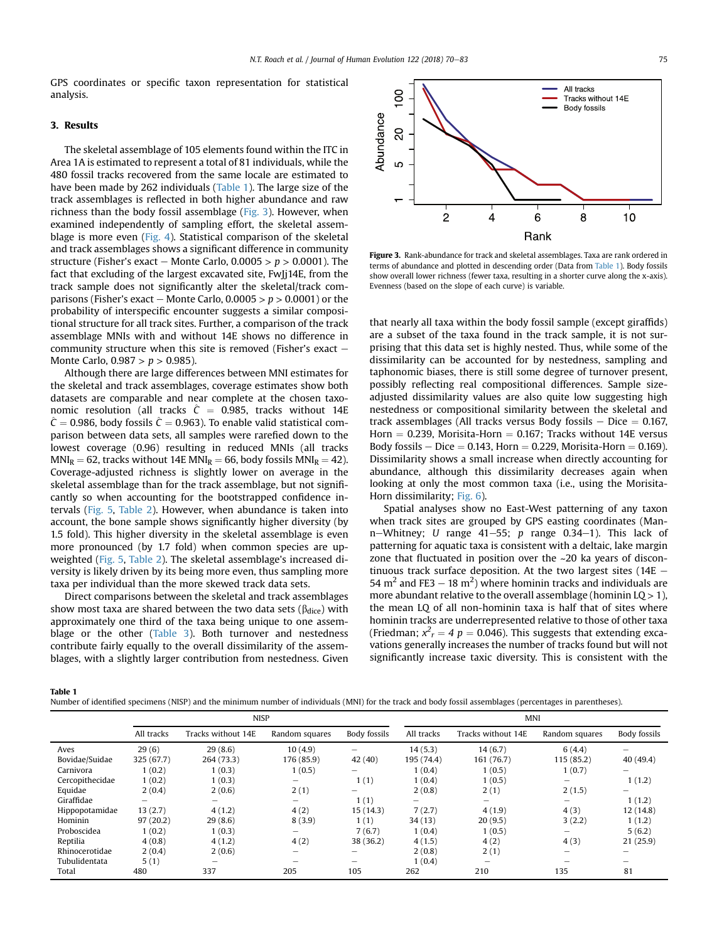<span id="page-5-0"></span>GPS coordinates or specific taxon representation for statistical analysis.

# 3. Results

The skeletal assemblage of 105 elements found within the ITC in Area 1A is estimated to represent a total of 81 individuals, while the 480 fossil tracks recovered from the same locale are estimated to have been made by 262 individuals (Table 1). The large size of the track assemblages is reflected in both higher abundance and raw richness than the body fossil assemblage (Fig. 3). However, when examined independently of sampling effort, the skeletal assem-blage is more even [\(Fig. 4](#page-6-0)). Statistical comparison of the skeletal and track assemblages shows a significant difference in community structure (Fisher's exact – Monte Carlo,  $0.0005 > p > 0.0001$ ). The fact that excluding of the largest excavated site, FwJj14E, from the track sample does not significantly alter the skeletal/track comparisons (Fisher's exact – Monte Carlo,  $0.0005 > p > 0.0001$ ) or the probability of interspecific encounter suggests a similar compositional structure for all track sites. Further, a comparison of the track assemblage MNIs with and without 14E shows no difference in community structure when this site is removed (Fisher's exact  $-$ Monte Carlo,  $0.987 > p > 0.985$ ).

Although there are large differences between MNI estimates for the skeletal and track assemblages, coverage estimates show both datasets are comparable and near complete at the chosen taxonomic resolution (all tracks  $\hat{C} = 0.985$ , tracks without 14E  $\hat{\mathcal{C}} = 0.986$ , body fossils  $\hat{\mathcal{C}} = 0.963$ ). To enable valid statistical comparison between data sets, all samples were rarefied down to the lowest coverage (0.96) resulting in reduced MNIs (all tracks  $MNI<sub>R</sub> = 62$ , tracks without 14E  $MNI<sub>R</sub> = 66$ , body fossils  $MNI<sub>R</sub> = 42$ ). Coverage-adjusted richness is slightly lower on average in the skeletal assemblage than for the track assemblage, but not significantly so when accounting for the bootstrapped confidence intervals [\(Fig. 5](#page-6-0), [Table 2](#page-6-0)). However, when abundance is taken into account, the bone sample shows significantly higher diversity (by 1.5 fold). This higher diversity in the skeletal assemblage is even more pronounced (by 1.7 fold) when common species are upweighted ([Fig. 5](#page-6-0), [Table 2](#page-6-0)). The skeletal assemblage's increased diversity is likely driven by its being more even, thus sampling more taxa per individual than the more skewed track data sets.

Direct comparisons between the skeletal and track assemblages show most taxa are shared between the two data sets ( $\beta_{\text{dice}}$ ) with approximately one third of the taxa being unique to one assemblage or the other [\(Table 3\)](#page-6-0). Both turnover and nestedness contribute fairly equally to the overall dissimilarity of the assemblages, with a slightly larger contribution from nestedness. Given



Figure 3. Rank-abundance for track and skeletal assemblages. Taxa are rank ordered in terms of abundance and plotted in descending order (Data from Table 1). Body fossils show overall lower richness (fewer taxa, resulting in a shorter curve along the x-axis). Evenness (based on the slope of each curve) is variable.

that nearly all taxa within the body fossil sample (except giraffids) are a subset of the taxa found in the track sample, it is not surprising that this data set is highly nested. Thus, while some of the dissimilarity can be accounted for by nestedness, sampling and taphonomic biases, there is still some degree of turnover present, possibly reflecting real compositional differences. Sample sizeadjusted dissimilarity values are also quite low suggesting high nestedness or compositional similarity between the skeletal and track assemblages (All tracks versus Body fossils  $-$  Dice  $=$  0.167, Horn  $= 0.239$ , Morisita-Horn  $= 0.167$ ; Tracks without 14E versus Body fossils  $-$  Dice  $= 0.143$ , Horn  $= 0.229$ , Morisita-Horn  $= 0.169$ ). Dissimilarity shows a small increase when directly accounting for abundance, although this dissimilarity decreases again when looking at only the most common taxa (i.e., using the Morisita-Horn dissimilarity; [Fig. 6](#page-7-0)).

Spatial analyses show no East-West patterning of any taxon when track sites are grouped by GPS easting coordinates (Mann-Whitney; U range 41–55; p range 0.34–1). This lack of patterning for aquatic taxa is consistent with a deltaic, lake margin zone that fluctuated in position over the ~20 ka years of discontinuous track surface deposition. At the two largest sites  $(14E -$ 54 m<sup>2</sup> and FE3 – 18 m<sup>2</sup>) where hominin tracks and individuals are more abundant relative to the overall assemblage (hominin  $LQ > 1$ ), the mean LQ of all non-hominin taxa is half that of sites where hominin tracks are underrepresented relative to those of other taxa (Friedman;  $x^2 = 4$   $p = 0.046$ ). This suggests that extending excavations generally increases the number of tracks found but will not significantly increase taxic diversity. This is consistent with the

Table 1

Number of identified specimens (NISP) and the minimum number of individuals (MNI) for the track and body fossil assemblages (percentages in parentheses).

|                 | <b>NISP</b> |                    |                |              | <b>MNI</b>               |                    |                |              |
|-----------------|-------------|--------------------|----------------|--------------|--------------------------|--------------------|----------------|--------------|
|                 | All tracks  | Tracks without 14E | Random squares | Body fossils | All tracks               | Tracks without 14E | Random squares | Body fossils |
| Aves            | 29(6)       | 29(8.6)            | 10(4.9)        |              | 14(5.3)                  | 14(6.7)            | 6(4.4)         |              |
| Bovidae/Suidae  | 325 (67.7)  | 264 (73.3)         | 176 (85.9)     | 42 (40)      | 195 (74.4)               | 161 (76.7)         | 115(85.2)      | 40(49.4)     |
| Carnivora       | 1(0.2)      | 1(0.3)             | 1(0.5)         |              | 1(0.4)                   | 1(0.5)             | 1(0.7)         |              |
| Cercopithecidae | 1(0.2)      | 1(0.3)             |                | 1(1)         | 1(0.4)                   | 1(0.5)             |                | 1(1.2)       |
| Equidae         | 2(0.4)      | 2(0.6)             | 2(1)           |              | 2(0.8)                   | 2(1)               | 2(1.5)         |              |
| Giraffidae      |             |                    |                | 1(1)         | $\overline{\phantom{0}}$ |                    |                | 1(1.2)       |
| Hippopotamidae  | 13(2.7)     | 4(1.2)             | 4(2)           | 15 (14.3)    | 7(2.7)                   | 4(1.9)             | 4(3)           | 12(14.8)     |
| Hominin         | 97(20.2)    | 29(8.6)            | 8(3.9)         | 1(1)         | 34(13)                   | 20(9.5)            | 3(2.2)         | 1(1.2)       |
| Proboscidea     | 1(0.2)      | 1(0.3)             | -              | 7(6.7)       | 1(0.4)                   | 1(0.5)             |                | 5(6.2)       |
| Reptilia        | 4(0.8)      | 4(1.2)             | 4(2)           | 38 (36.2)    | 4(1.5)                   | 4(2)               | 4(3)           | 21(25.9)     |
| Rhinocerotidae  | 2(0.4)      | 2(0.6)             |                |              | 2(0.8)                   | 2(1)               |                |              |
| Tubulidentata   | 5(1)        |                    |                |              | 1(0.4)                   | -                  |                |              |
| Total           | 480         | 337                | 205            | 105          | 262                      | 210                | 135            | 81           |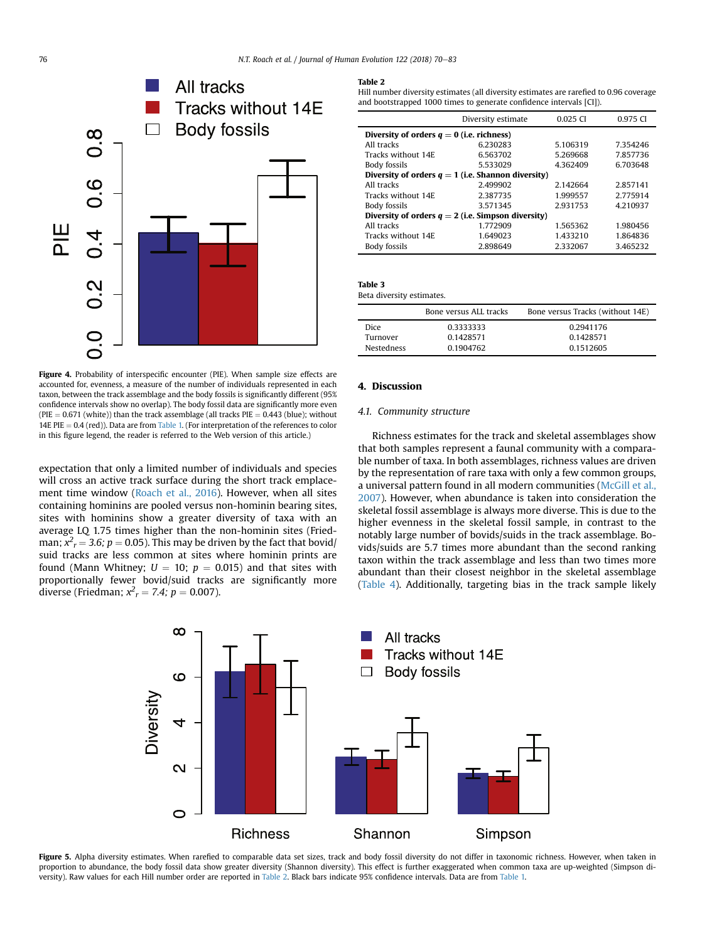<span id="page-6-0"></span>

Figure 4. Probability of interspecific encounter (PIE). When sample size effects are accounted for, evenness, a measure of the number of individuals represented in each taxon, between the track assemblage and the body fossils is significantly different (95% confidence intervals show no overlap). The body fossil data are significantly more even (PIE  $= 0.671$  (white)) than the track assemblage (all tracks PIE  $= 0.443$  (blue); without 14E PIE  $= 0.4$  (red)). Data are from [Table 1.](#page-5-0) (For interpretation of the references to color in this figure legend, the reader is referred to the Web version of this article.)

expectation that only a limited number of individuals and species will cross an active track surface during the short track emplacement time window [\(Roach et al., 2016\)](#page-12-0). However, when all sites containing hominins are pooled versus non-hominin bearing sites, sites with hominins show a greater diversity of taxa with an average LQ 1.75 times higher than the non-hominin sites (Friedman;  $x^2 = 3.6$ ;  $p = 0.05$ ). This may be driven by the fact that bovid/ suid tracks are less common at sites where hominin prints are found (Mann Whitney;  $U = 10$ ;  $p = 0.015$ ) and that sites with proportionally fewer bovid/suid tracks are significantly more diverse (Friedman;  $x^{2}{}_{r} = 7.4; p = 0.007$ ).

#### Table 2

Hill number diversity estimates (all diversity estimates are rarefied to 0.96 coverage and bootstrapped 1000 times to generate confidence intervals [CI]).

|                                                      | Diversity estimate | $0.025$ CI | 0.975 CI |  |  |  |
|------------------------------------------------------|--------------------|------------|----------|--|--|--|
| Diversity of orders $q = 0$ (i.e. richness)          |                    |            |          |  |  |  |
| All tracks                                           | 6.230283           | 5.106319   | 7.354246 |  |  |  |
| Tracks without 14E                                   | 6.563702           | 5.269668   | 7.857736 |  |  |  |
| Body fossils                                         | 5.533029           | 4.362409   | 6.703648 |  |  |  |
| Diversity of orders $q = 1$ (i.e. Shannon diversity) |                    |            |          |  |  |  |
| All tracks                                           | 2.499902           | 2.142664   | 2.857141 |  |  |  |
| Tracks without 14E                                   | 2.387735           | 1.999557   | 2.775914 |  |  |  |
| Body fossils                                         | 3.571345           | 2.931753   | 4.210937 |  |  |  |
| Diversity of orders $q = 2$ (i.e. Simpson diversity) |                    |            |          |  |  |  |
| All tracks                                           | 1.772909           | 1.565362   | 1.980456 |  |  |  |
| Tracks without 14E                                   | 1.649023           | 1.433210   | 1.864836 |  |  |  |
| Body fossils                                         | 2.898649           | 2.332067   | 3.465232 |  |  |  |

Table 3 Beta diversity estimates.

|             | Bone versus ALL tracks | Bone versus Tracks (without 14E) |
|-------------|------------------------|----------------------------------|
| <b>Dice</b> | 0.3333333              | 0.2941176                        |
| Turnover    | 0.1428571              | 0.1428571                        |
| Nestedness  | 0.1904762              | 0.1512605                        |

# 4. Discussion

## 4.1. Community structure

Richness estimates for the track and skeletal assemblages show that both samples represent a faunal community with a comparable number of taxa. In both assemblages, richness values are driven by the representation of rare taxa with only a few common groups, a universal pattern found in all modern communities [\(McGill et al.,](#page-12-0) [2007\)](#page-12-0). However, when abundance is taken into consideration the skeletal fossil assemblage is always more diverse. This is due to the higher evenness in the skeletal fossil sample, in contrast to the notably large number of bovids/suids in the track assemblage. Bovids/suids are 5.7 times more abundant than the second ranking taxon within the track assemblage and less than two times more abundant than their closest neighbor in the skeletal assemblage ([Table 4](#page-7-0)). Additionally, targeting bias in the track sample likely



Figure 5. Alpha diversity estimates. When rarefied to comparable data set sizes, track and body fossil diversity do not differ in taxonomic richness. However, when taken in proportion to abundance, the body fossil data show greater diversity (Shannon diversity). This effect is further exaggerated when common taxa are up-weighted (Simpson diversity). Raw values for each Hill number order are reported in Table 2. Black bars indicate 95% confidence intervals. Data are from [Table 1.](#page-5-0)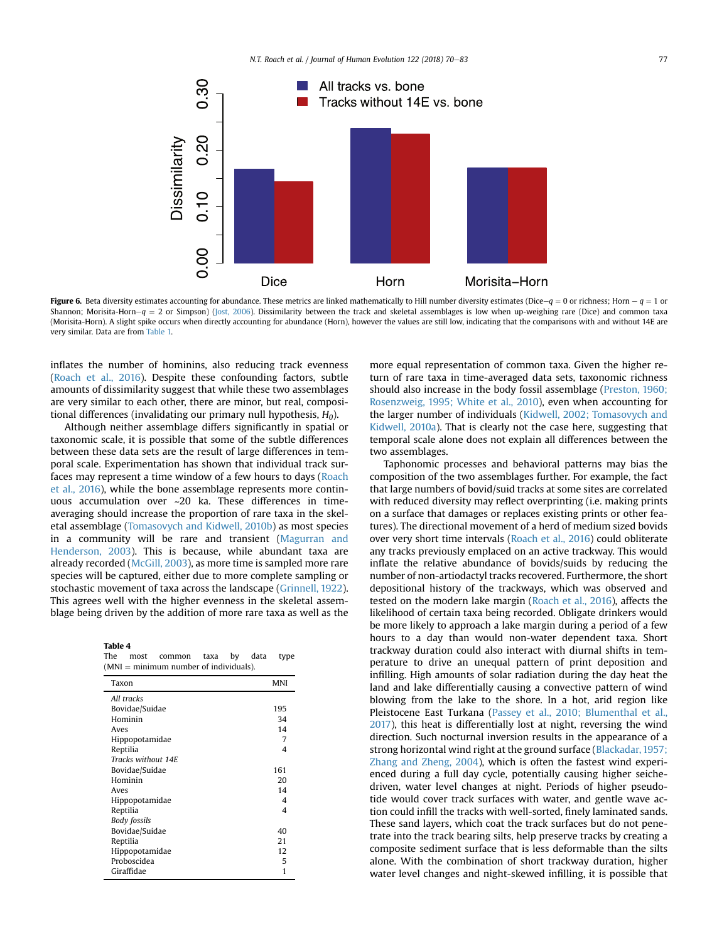<span id="page-7-0"></span>

Figure 6. Beta diversity estimates accounting for abundance. These metrics are linked mathematically to Hill number diversity estimates (Dice- $q = 0$  or richness; Horn  $-q = 1$  or Shannon: Morisita-Horn- $q = 2$  or Simpson) [\(Jost, 2006](#page-11-0)). Dissimilarity between the track and skeletal assemblages is low when up-weighing rare (Dice) and common taxa (Morisita-Horn). A slight spike occurs when directly accounting for abundance (Horn), however the values are still low, indicating that the comparisons with and without 14E are very similar. Data are from [Table 1.](#page-5-0)

inflates the number of hominins, also reducing track evenness ([Roach et al., 2016](#page-12-0)). Despite these confounding factors, subtle amounts of dissimilarity suggest that while these two assemblages are very similar to each other, there are minor, but real, compositional differences (invalidating our primary null hypothesis,  $H_0$ ).

Although neither assemblage differs significantly in spatial or taxonomic scale, it is possible that some of the subtle differences between these data sets are the result of large differences in temporal scale. Experimentation has shown that individual track surfaces may represent a time window of a few hours to days ([Roach](#page-12-0) [et al., 2016\)](#page-12-0), while the bone assemblage represents more continuous accumulation over ~20 ka. These differences in timeaveraging should increase the proportion of rare taxa in the skeletal assemblage ([Tomasovych and Kidwell, 2010b](#page-12-0)) as most species in a community will be rare and transient [\(Magurran and](#page-12-0) [Henderson, 2003\)](#page-12-0). This is because, while abundant taxa are already recorded ([McGill, 2003](#page-12-0)), as more time is sampled more rare species will be captured, either due to more complete sampling or stochastic movement of taxa across the landscape ([Grinnell, 1922\)](#page-11-0). This agrees well with the higher evenness in the skeletal assemblage being driven by the addition of more rare taxa as well as the

|--|--|

|  | The most common taxa by data type        |  |  |
|--|------------------------------------------|--|--|
|  | $(MNI = minimum number of individuals).$ |  |  |

| Taxon               | <b>MNI</b>     |
|---------------------|----------------|
| All tracks          |                |
| Bovidae/Suidae      | 195            |
| Hominin             | 34             |
| Aves                | 14             |
| Hippopotamidae      | 7              |
| Reptilia            | $\overline{4}$ |
| Tracks without 14E  |                |
| Bovidae/Suidae      | 161            |
| Hominin             | 20             |
| Aves                | 14             |
| Hippopotamidae      | $\overline{4}$ |
| Reptilia            | $\overline{4}$ |
| <b>Body fossils</b> |                |
| Bovidae/Suidae      | 40             |
| Reptilia            | 21             |
| Hippopotamidae      | 12             |
| Proboscidea         | 5              |
| Giraffidae          | 1              |

more equal representation of common taxa. Given the higher return of rare taxa in time-averaged data sets, taxonomic richness should also increase in the body fossil assemblage ([Preston, 1960;](#page-12-0) [Rosenzweig, 1995; White et al., 2010\)](#page-12-0), even when accounting for the larger number of individuals [\(Kidwell, 2002; Tomasovych and](#page-11-0) [Kidwell, 2010a\)](#page-11-0). That is clearly not the case here, suggesting that temporal scale alone does not explain all differences between the two assemblages.

Taphonomic processes and behavioral patterns may bias the composition of the two assemblages further. For example, the fact that large numbers of bovid/suid tracks at some sites are correlated with reduced diversity may reflect overprinting (i.e. making prints on a surface that damages or replaces existing prints or other features). The directional movement of a herd of medium sized bovids over very short time intervals ([Roach et al., 2016](#page-12-0)) could obliterate any tracks previously emplaced on an active trackway. This would inflate the relative abundance of bovids/suids by reducing the number of non-artiodactyl tracks recovered. Furthermore, the short depositional history of the trackways, which was observed and tested on the modern lake margin [\(Roach et al., 2016](#page-12-0)), affects the likelihood of certain taxa being recorded. Obligate drinkers would be more likely to approach a lake margin during a period of a few hours to a day than would non-water dependent taxa. Short trackway duration could also interact with diurnal shifts in temperature to drive an unequal pattern of print deposition and infilling. High amounts of solar radiation during the day heat the land and lake differentially causing a convective pattern of wind blowing from the lake to the shore. In a hot, arid region like Pleistocene East Turkana ([Passey et al., 2010; Blumenthal et al.,](#page-12-0) [2017](#page-12-0)), this heat is differentially lost at night, reversing the wind direction. Such nocturnal inversion results in the appearance of a strong horizontal wind right at the ground surface [\(Blackadar, 1957;](#page-11-0) [Zhang and Zheng, 2004](#page-11-0)), which is often the fastest wind experienced during a full day cycle, potentially causing higher seichedriven, water level changes at night. Periods of higher pseudotide would cover track surfaces with water, and gentle wave action could infill the tracks with well-sorted, finely laminated sands. These sand layers, which coat the track surfaces but do not penetrate into the track bearing silts, help preserve tracks by creating a composite sediment surface that is less deformable than the silts alone. With the combination of short trackway duration, higher water level changes and night-skewed infilling, it is possible that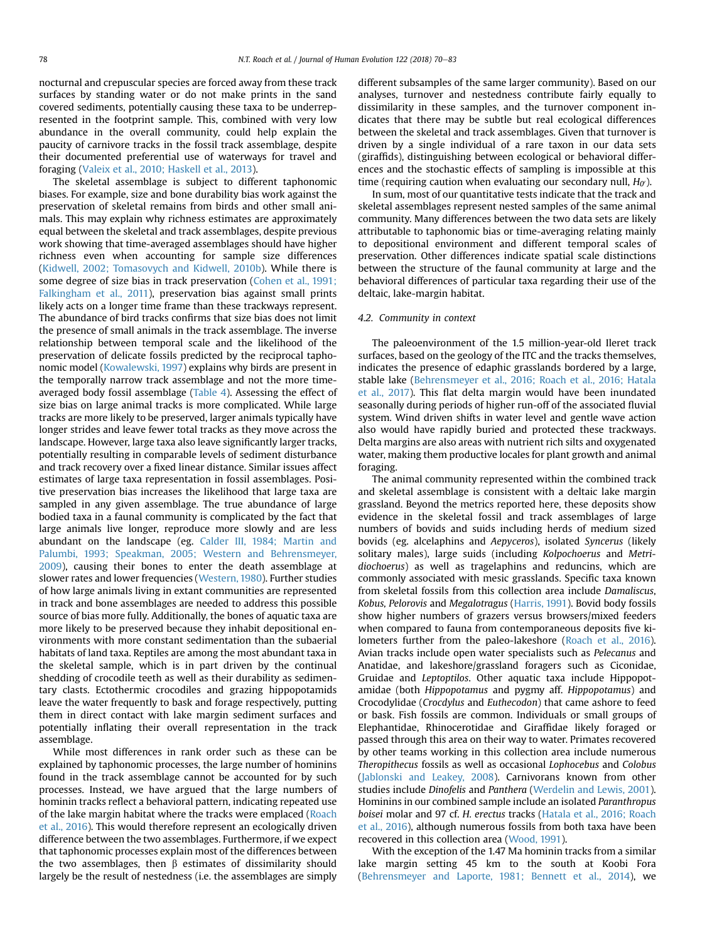nocturnal and crepuscular species are forced away from these track surfaces by standing water or do not make prints in the sand covered sediments, potentially causing these taxa to be underrepresented in the footprint sample. This, combined with very low abundance in the overall community, could help explain the paucity of carnivore tracks in the fossil track assemblage, despite their documented preferential use of waterways for travel and foraging ([Valeix et al., 2010; Haskell et al., 2013\)](#page-12-0).

The skeletal assemblage is subject to different taphonomic biases. For example, size and bone durability bias work against the preservation of skeletal remains from birds and other small animals. This may explain why richness estimates are approximately equal between the skeletal and track assemblages, despite previous work showing that time-averaged assemblages should have higher richness even when accounting for sample size differences ([Kidwell, 2002; Tomasovych and Kidwell, 2010b\)](#page-11-0). While there is some degree of size bias in track preservation ([Cohen et al., 1991;](#page-11-0) [Falkingham et al., 2011](#page-11-0)), preservation bias against small prints likely acts on a longer time frame than these trackways represent. The abundance of bird tracks confirms that size bias does not limit the presence of small animals in the track assemblage. The inverse relationship between temporal scale and the likelihood of the preservation of delicate fossils predicted by the reciprocal taphonomic model [\(Kowalewski, 1997](#page-11-0)) explains why birds are present in the temporally narrow track assemblage and not the more timeaveraged body fossil assemblage [\(Table 4\)](#page-7-0). Assessing the effect of size bias on large animal tracks is more complicated. While large tracks are more likely to be preserved, larger animals typically have longer strides and leave fewer total tracks as they move across the landscape. However, large taxa also leave significantly larger tracks, potentially resulting in comparable levels of sediment disturbance and track recovery over a fixed linear distance. Similar issues affect estimates of large taxa representation in fossil assemblages. Positive preservation bias increases the likelihood that large taxa are sampled in any given assemblage. The true abundance of large bodied taxa in a faunal community is complicated by the fact that large animals live longer, reproduce more slowly and are less abundant on the landscape (eg. [Calder III, 1984; Martin and](#page-11-0) [Palumbi, 1993; Speakman, 2005; Western and Behrensmeyer,](#page-11-0) [2009](#page-11-0)), causing their bones to enter the death assemblage at slower rates and lower frequencies [\(Western, 1980\)](#page-13-0). Further studies of how large animals living in extant communities are represented in track and bone assemblages are needed to address this possible source of bias more fully. Additionally, the bones of aquatic taxa are more likely to be preserved because they inhabit depositional environments with more constant sedimentation than the subaerial habitats of land taxa. Reptiles are among the most abundant taxa in the skeletal sample, which is in part driven by the continual shedding of crocodile teeth as well as their durability as sedimentary clasts. Ectothermic crocodiles and grazing hippopotamids leave the water frequently to bask and forage respectively, putting them in direct contact with lake margin sediment surfaces and potentially inflating their overall representation in the track assemblage.

While most differences in rank order such as these can be explained by taphonomic processes, the large number of hominins found in the track assemblage cannot be accounted for by such processes. Instead, we have argued that the large numbers of hominin tracks reflect a behavioral pattern, indicating repeated use of the lake margin habitat where the tracks were emplaced [\(Roach](#page-12-0) [et al., 2016\)](#page-12-0). This would therefore represent an ecologically driven difference between the two assemblages. Furthermore, if we expect that taphonomic processes explain most of the differences between the two assemblages, then  $\beta$  estimates of dissimilarity should largely be the result of nestedness (i.e. the assemblages are simply different subsamples of the same larger community). Based on our analyses, turnover and nestedness contribute fairly equally to dissimilarity in these samples, and the turnover component indicates that there may be subtle but real ecological differences between the skeletal and track assemblages. Given that turnover is driven by a single individual of a rare taxon in our data sets (giraffids), distinguishing between ecological or behavioral differences and the stochastic effects of sampling is impossible at this time (requiring caution when evaluating our secondary null,  $H_0$ ).

In sum, most of our quantitative tests indicate that the track and skeletal assemblages represent nested samples of the same animal community. Many differences between the two data sets are likely attributable to taphonomic bias or time-averaging relating mainly to depositional environment and different temporal scales of preservation. Other differences indicate spatial scale distinctions between the structure of the faunal community at large and the behavioral differences of particular taxa regarding their use of the deltaic, lake-margin habitat.

## 4.2. Community in context

The paleoenvironment of the 1.5 million-year-old Ileret track surfaces, based on the geology of the ITC and the tracks themselves, indicates the presence of edaphic grasslands bordered by a large, stable lake ([Behrensmeyer et al., 2016; Roach et al., 2016; Hatala](#page-10-0) [et al., 2017](#page-10-0)). This flat delta margin would have been inundated seasonally during periods of higher run-off of the associated fluvial system. Wind driven shifts in water level and gentle wave action also would have rapidly buried and protected these trackways. Delta margins are also areas with nutrient rich silts and oxygenated water, making them productive locales for plant growth and animal foraging.

The animal community represented within the combined track and skeletal assemblage is consistent with a deltaic lake margin grassland. Beyond the metrics reported here, these deposits show evidence in the skeletal fossil and track assemblages of large numbers of bovids and suids including herds of medium sized bovids (eg. alcelaphins and Aepyceros), isolated Syncerus (likely solitary males), large suids (including Kolpochoerus and Metridiochoerus) as well as tragelaphins and reduncins, which are commonly associated with mesic grasslands. Specific taxa known from skeletal fossils from this collection area include Damaliscus, Kobus, Pelorovis and Megalotragus [\(Harris, 1991](#page-11-0)). Bovid body fossils show higher numbers of grazers versus browsers/mixed feeders when compared to fauna from contemporaneous deposits five ki-lometers further from the paleo-lakeshore ([Roach et al., 2016\)](#page-12-0). Avian tracks include open water specialists such as Pelecanus and Anatidae, and lakeshore/grassland foragers such as Ciconidae, Gruidae and Leptoptilos. Other aquatic taxa include Hippopotamidae (both Hippopotamus and pygmy aff. Hippopotamus) and Crocodylidae (Crocdylus and Euthecodon) that came ashore to feed or bask. Fish fossils are common. Individuals or small groups of Elephantidae, Rhinocerotidae and Giraffidae likely foraged or passed through this area on their way to water. Primates recovered by other teams working in this collection area include numerous Theropithecus fossils as well as occasional Lophocebus and Colobus ([Jablonski and Leakey, 2008](#page-11-0)). Carnivorans known from other studies include Dinofelis and Panthera [\(Werdelin and Lewis, 2001\)](#page-13-0). Hominins in our combined sample include an isolated Paranthropus boisei molar and 97 cf. H. erectus tracks ([Hatala et al., 2016; Roach](#page-11-0) [et al., 2016](#page-11-0)), although numerous fossils from both taxa have been recovered in this collection area ([Wood, 1991](#page-13-0)).

With the exception of the 1.47 Ma hominin tracks from a similar lake margin setting 45 km to the south at Koobi Fora ([Behrensmeyer and Laporte, 1981; Bennett et al., 2014\)](#page-10-0), we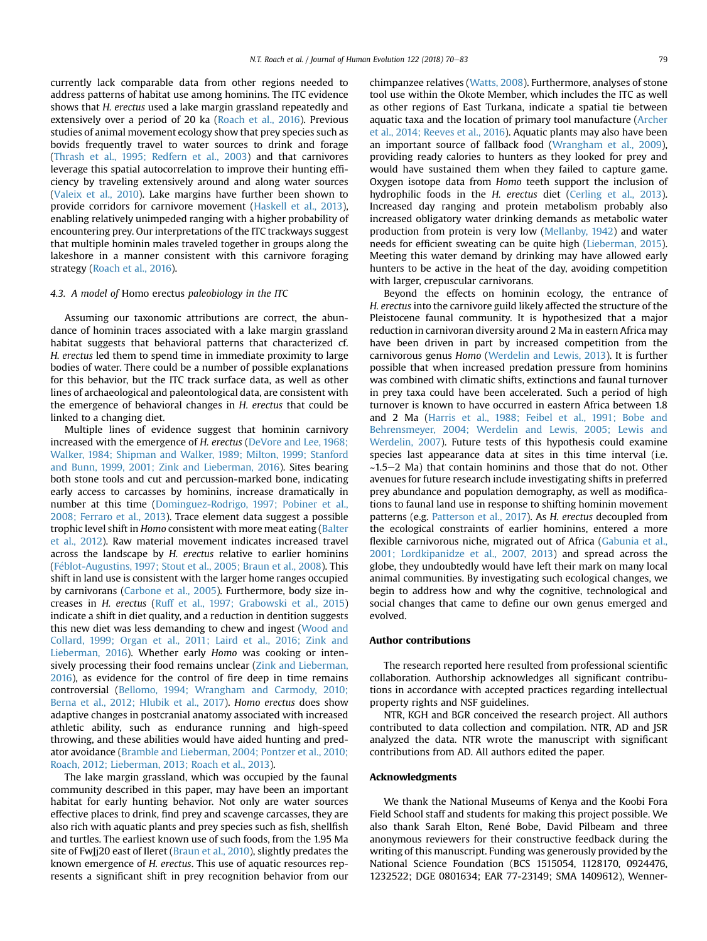currently lack comparable data from other regions needed to address patterns of habitat use among hominins. The ITC evidence shows that H. erectus used a lake margin grassland repeatedly and extensively over a period of 20 ka ([Roach et al., 2016\)](#page-12-0). Previous studies of animal movement ecology show that prey species such as bovids frequently travel to water sources to drink and forage ([Thrash et al., 1995; Redfern et al., 2003](#page-12-0)) and that carnivores leverage this spatial autocorrelation to improve their hunting efficiency by traveling extensively around and along water sources ([Valeix et al., 2010\)](#page-12-0). Lake margins have further been shown to provide corridors for carnivore movement ([Haskell et al., 2013\)](#page-11-0), enabling relatively unimpeded ranging with a higher probability of encountering prey. Our interpretations of the ITC trackways suggest that multiple hominin males traveled together in groups along the lakeshore in a manner consistent with this carnivore foraging strategy [\(Roach et al., 2016](#page-12-0)).

## 4.3. A model of Homo erectus paleobiology in the ITC

Assuming our taxonomic attributions are correct, the abundance of hominin traces associated with a lake margin grassland habitat suggests that behavioral patterns that characterized cf. H. erectus led them to spend time in immediate proximity to large bodies of water. There could be a number of possible explanations for this behavior, but the ITC track surface data, as well as other lines of archaeological and paleontological data, are consistent with the emergence of behavioral changes in H. erectus that could be linked to a changing diet.

Multiple lines of evidence suggest that hominin carnivory increased with the emergence of H. erectus [\(DeVore and Lee, 1968;](#page-11-0) [Walker, 1984; Shipman and Walker, 1989; Milton, 1999; Stanford](#page-11-0) [and Bunn, 1999, 2001; Zink and Lieberman, 2016\)](#page-11-0). Sites bearing both stone tools and cut and percussion-marked bone, indicating early access to carcasses by hominins, increase dramatically in number at this time [\(Dominguez-Rodrigo, 1997; Pobiner et al.,](#page-11-0) [2008; Ferraro et al., 2013\)](#page-11-0). Trace element data suggest a possible trophic level shift in Homo consistent with more meat eating [\(Balter](#page-10-0) [et al., 2012](#page-10-0)). Raw material movement indicates increased travel across the landscape by H. erectus relative to earlier hominins (Féblot-Augustins, 1997; Stout et al., 2005; Braun et al., 2008). This shift in land use is consistent with the larger home ranges occupied by carnivorans ([Carbone et al., 2005](#page-11-0)). Furthermore, body size increases in H. erectus ([Ruff et al., 1997; Grabowski et al., 2015\)](#page-12-0) indicate a shift in diet quality, and a reduction in dentition suggests this new diet was less demanding to chew and ingest [\(Wood and](#page-13-0) [Collard, 1999; Organ et al., 2011; Laird et al., 2016; Zink and](#page-13-0) [Lieberman, 2016](#page-13-0)). Whether early Homo was cooking or intensively processing their food remains unclear ([Zink and Lieberman,](#page-13-0) [2016\)](#page-13-0), as evidence for the control of fire deep in time remains controversial [\(Bellomo, 1994; Wrangham and Carmody, 2010;](#page-10-0) [Berna et al., 2012; Hlubik et al., 2017](#page-10-0)). Homo erectus does show adaptive changes in postcranial anatomy associated with increased athletic ability, such as endurance running and high-speed throwing, and these abilities would have aided hunting and predator avoidance [\(Bramble and Lieberman, 2004; Pontzer et al., 2010;](#page-11-0) [Roach, 2012; Lieberman, 2013; Roach et al., 2013](#page-11-0)).

The lake margin grassland, which was occupied by the faunal community described in this paper, may have been an important habitat for early hunting behavior. Not only are water sources effective places to drink, find prey and scavenge carcasses, they are also rich with aquatic plants and prey species such as fish, shellfish and turtles. The earliest known use of such foods, from the 1.95 Ma site of FwJj20 east of Ileret ([Braun et al., 2010](#page-11-0)), slightly predates the known emergence of H. erectus. This use of aquatic resources represents a significant shift in prey recognition behavior from our chimpanzee relatives ([Watts, 2008\)](#page-13-0). Furthermore, analyses of stone tool use within the Okote Member, which includes the ITC as well as other regions of East Turkana, indicate a spatial tie between aquatic taxa and the location of primary tool manufacture [\(Archer](#page-10-0) [et al., 2014; Reeves et al., 2016\)](#page-10-0). Aquatic plants may also have been an important source of fallback food ([Wrangham et al., 2009\)](#page-13-0), providing ready calories to hunters as they looked for prey and would have sustained them when they failed to capture game. Oxygen isotope data from Homo teeth support the inclusion of hydrophilic foods in the H. erectus diet [\(Cerling et al., 2013\)](#page-11-0). Increased day ranging and protein metabolism probably also increased obligatory water drinking demands as metabolic water production from protein is very low ([Mellanby, 1942\)](#page-12-0) and water needs for efficient sweating can be quite high ([Lieberman, 2015\)](#page-12-0). Meeting this water demand by drinking may have allowed early hunters to be active in the heat of the day, avoiding competition with larger, crepuscular carnivorans.

Beyond the effects on hominin ecology, the entrance of H. erectus into the carnivore guild likely affected the structure of the Pleistocene faunal community. It is hypothesized that a major reduction in carnivoran diversity around 2 Ma in eastern Africa may have been driven in part by increased competition from the carnivorous genus Homo ([Werdelin and Lewis, 2013\)](#page-13-0). It is further possible that when increased predation pressure from hominins was combined with climatic shifts, extinctions and faunal turnover in prey taxa could have been accelerated. Such a period of high turnover is known to have occurred in eastern Africa between 1.8 and 2 Ma ([Harris et al., 1988; Feibel et al., 1991; Bobe and](#page-11-0) [Behrensmeyer, 2004; Werdelin and Lewis, 2005; Lewis and](#page-11-0) [Werdelin, 2007\)](#page-11-0). Future tests of this hypothesis could examine species last appearance data at sites in this time interval (i.e.  $~1.5-2$  Ma) that contain hominins and those that do not. Other avenues for future research include investigating shifts in preferred prey abundance and population demography, as well as modifications to faunal land use in response to shifting hominin movement patterns (e.g. [Patterson et al., 2017\)](#page-12-0). As H. erectus decoupled from the ecological constraints of earlier hominins, entered a more flexible carnivorous niche, migrated out of Africa [\(Gabunia et al.,](#page-11-0) [2001; Lordkipanidze et al., 2007, 2013](#page-11-0)) and spread across the globe, they undoubtedly would have left their mark on many local animal communities. By investigating such ecological changes, we begin to address how and why the cognitive, technological and social changes that came to define our own genus emerged and evolved.

## Author contributions

The research reported here resulted from professional scientific collaboration. Authorship acknowledges all significant contributions in accordance with accepted practices regarding intellectual property rights and NSF guidelines.

NTR, KGH and BGR conceived the research project. All authors contributed to data collection and compilation. NTR, AD and JSR analyzed the data. NTR wrote the manuscript with significant contributions from AD. All authors edited the paper.

## Acknowledgments

We thank the National Museums of Kenya and the Koobi Fora Field School staff and students for making this project possible. We also thank Sarah Elton, René Bobe, David Pilbeam and three anonymous reviewers for their constructive feedback during the writing of this manuscript. Funding was generously provided by the National Science Foundation (BCS 1515054, 1128170, 0924476, 1232522; DGE 0801634; EAR 77-23149; SMA 1409612), Wenner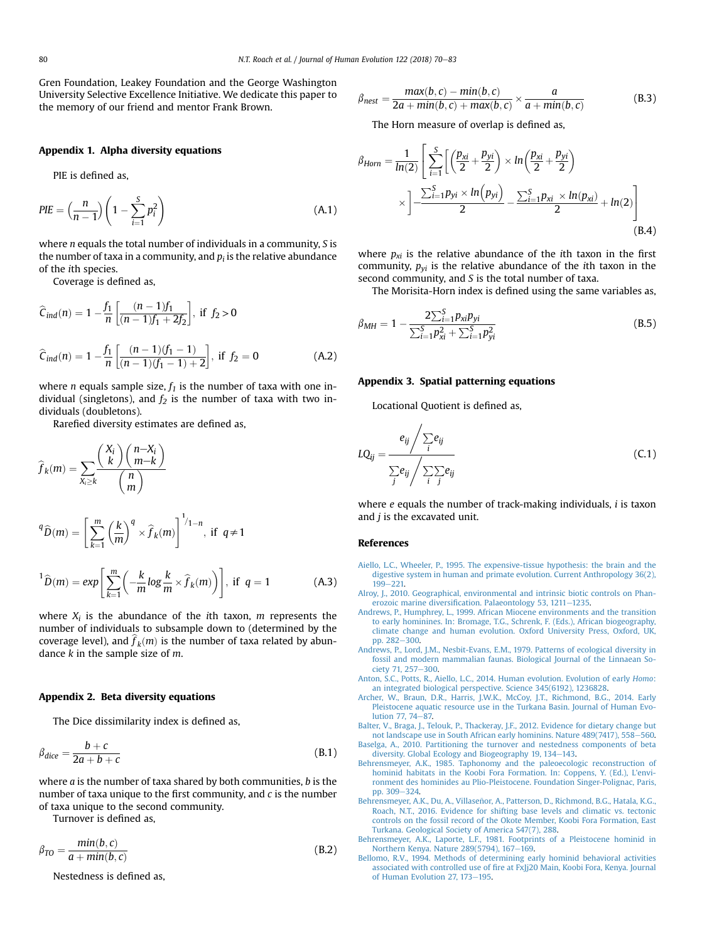<span id="page-10-0"></span>Gren Foundation, Leakey Foundation and the George Washington University Selective Excellence Initiative. We dedicate this paper to the memory of our friend and mentor Frank Brown.

## Appendix 1. Alpha diversity equations

PIE is defined as,

$$
PIE = \left(\frac{n}{n-1}\right)\left(1 - \sum_{i=1}^{S} p_i^2\right) \tag{A.1}
$$

where  $n$  equals the total number of individuals in a community,  $S$  is the number of taxa in a community, and  $p_i$  is the relative abundance of the ith species.

Coverage is defined as,

$$
\hat{C}_{ind}(n) = 1 - \frac{f_1}{n} \left[ \frac{(n-1)f_1}{(n-1)f_1 + 2f_2} \right], \text{ if } f_2 > 0
$$
\n
$$
\hat{C}_{ind}(n) = 1 - \frac{f_1}{n} \left[ \frac{(n-1)(f_1 - 1)}{(n-1)(f_1 - 1) + 2} \right], \text{ if } f_2 = 0
$$
\n(A.2)

where *n* equals sample size,  $f_1$  is the number of taxa with one individual (singletons), and  $f_2$  is the number of taxa with two individuals (doubletons).

Rarefied diversity estimates are defined as,

$$
\widehat{f}_k(m) = \sum_{X_i \ge k} \frac{\binom{X_i}{k} \binom{n - X_i}{m - k}}{\binom{n}{m}}
$$

 $_{k=1}$ 

$$
{}^{q}\widehat{D}(m) = \left[\sum_{k=1}^{m} \left(\frac{k}{m}\right)^{q} \times \widehat{f}_{k}(m)\right]^{1/1-n}, \text{ if } q \neq 1
$$
  

$$
{}^{1}\widehat{D}(m) = \exp\left[\sum_{k=1}^{m} \left(-\frac{k}{m}\log\frac{k}{m} \times \widehat{f}_{k}(m)\right)\right], \text{ if } q = 1
$$
 (A.3)

where  $X_i$  is the abundance of the *i*th taxon, m represents the number of individuals to subsample down to (determined by the coverage level), and  $\widehat{f}_k(m)$  is the number of taxa related by abundance  $k$  in the sample size of  $m$ .

## Appendix 2. Beta diversity equations

The Dice dissimilarity index is defined as,

$$
\beta_{dice} = \frac{b+c}{2a+b+c} \tag{B.1}
$$

where  $a$  is the number of taxa shared by both communities,  $b$  is the number of taxa unique to the first community, and  $c$  is the number of taxa unique to the second community.

Turnover is defined as,

$$
\beta_{TO} = \frac{min(b, c)}{a + min(b, c)}
$$
 (B.2)

Nestedness is defined as,

$$
\beta_{\text{nest}} = \frac{\max(b, c) - \min(b, c)}{2a + \min(b, c) + \max(b, c)} \times \frac{a}{a + \min(b, c)}
$$
(B.3)

The Horn measure of overlap is defined as,

$$
\beta_{Horn} = \frac{1}{\ln(2)} \left[ \sum_{i=1}^{S} \left[ \left( \frac{p_{xi}}{2} + \frac{p_{yi}}{2} \right) \times \ln \left( \frac{p_{xi}}{2} + \frac{p_{yi}}{2} \right) \right] \times \left[ \sum_{i=1}^{S} p_{yi} \times \ln (p_{yi}) \right] - \frac{\sum_{i=1}^{S} p_{xi} \times \ln (p_{xi})}{2} + \ln(2) \right]
$$
\n(B.4)

where  $p_{xi}$  is the relative abundance of the *i*th taxon in the first community,  $p_{vi}$  is the relative abundance of the *i*th taxon in the second community, and S is the total number of taxa.

The Morisita-Horn index is defined using the same variables as,

$$
\beta_{MH} = 1 - \frac{2\sum_{i=1}^{S} p_{xi} p_{yi}}{\sum_{i=1}^{S} p_{xi}^{2} + \sum_{i=1}^{S} p_{yi}^{2}}
$$
(B.5)

## Appendix 3. Spatial patterning equations

Locational Quotient is defined as,

$$
LQ_{ij} = \frac{e_{ij} / \sum_i e_{ij}}{\sum_j e_{ij} / \sum_i \sum_j e_{ij}}
$$
(C.1)

where  $e$  equals the number of track-making individuals,  $i$  is taxon and  $j$  is the excavated unit.

### References

- [Aiello, L.C., Wheeler, P., 1995. The expensive-tissue hypothesis: the brain and the](http://refhub.elsevier.com/S0047-2484(18)30148-9/sref1) [digestive system in human and primate evolution. Current Anthropology 36\(2\),](http://refhub.elsevier.com/S0047-2484(18)30148-9/sref1) [199](http://refhub.elsevier.com/S0047-2484(18)30148-9/sref1)-[221.](http://refhub.elsevier.com/S0047-2484(18)30148-9/sref1)
- [Alroy, J., 2010. Geographical, environmental and intrinsic biotic controls on Phan](http://refhub.elsevier.com/S0047-2484(18)30148-9/sref2)erozoic marine diversifi[cation. Palaeontology 53, 1211](http://refhub.elsevier.com/S0047-2484(18)30148-9/sref2)-[1235.](http://refhub.elsevier.com/S0047-2484(18)30148-9/sref2)
- [Andrews, P., Humphrey, L., 1999. African Miocene environments and the transition](http://refhub.elsevier.com/S0047-2484(18)30148-9/sref3) [to early hominines. In: Bromage, T.G., Schrenk, F. \(Eds.\), African biogeography,](http://refhub.elsevier.com/S0047-2484(18)30148-9/sref3) [climate change and human evolution. Oxford University Press, Oxford, UK,](http://refhub.elsevier.com/S0047-2484(18)30148-9/sref3) pp.  $282 - 300$  $282 - 300$ .
- [Andrews, P., Lord, J.M., Nesbit-Evans, E.M., 1979. Patterns of ecological diversity in](http://refhub.elsevier.com/S0047-2484(18)30148-9/sref4) [fossil and modern mammalian faunas. Biological Journal of the Linnaean So](http://refhub.elsevier.com/S0047-2484(18)30148-9/sref4)[ciety 71, 257](http://refhub.elsevier.com/S0047-2484(18)30148-9/sref4)-[300.](http://refhub.elsevier.com/S0047-2484(18)30148-9/sref4)
- [Anton, S.C., Potts, R., Aiello, L.C., 2014. Human evolution. Evolution of early](http://refhub.elsevier.com/S0047-2484(18)30148-9/sref5) Homo: [an integrated biological perspective. Science 345\(6192\), 1236828](http://refhub.elsevier.com/S0047-2484(18)30148-9/sref5).
- [Archer, W., Braun, D.R., Harris, J.W.K., McCoy, J.T., Richmond, B.G., 2014. Early](http://refhub.elsevier.com/S0047-2484(18)30148-9/sref6) [Pleistocene aquatic resource use in the Turkana Basin. Journal of Human Evo](http://refhub.elsevier.com/S0047-2484(18)30148-9/sref6)[lution 77, 74](http://refhub.elsevier.com/S0047-2484(18)30148-9/sref6)-[87.](http://refhub.elsevier.com/S0047-2484(18)30148-9/sref6)
- [Balter, V., Braga, J., Telouk, P., Thackeray, J.F., 2012. Evidence for dietary change but](http://refhub.elsevier.com/S0047-2484(18)30148-9/sref7) [not landscape use in South African early hominins. Nature 489\(7417\), 558](http://refhub.elsevier.com/S0047-2484(18)30148-9/sref7)-[560](http://refhub.elsevier.com/S0047-2484(18)30148-9/sref7).
- [Baselga, A., 2010. Partitioning the turnover and nestedness components of beta](http://refhub.elsevier.com/S0047-2484(18)30148-9/sref8) [diversity. Global Ecology and Biogeography 19, 134](http://refhub.elsevier.com/S0047-2484(18)30148-9/sref8)-[143.](http://refhub.elsevier.com/S0047-2484(18)30148-9/sref8)
- [Behrensmeyer, A.K., 1985. Taphonomy and the paleoecologic reconstruction of](http://refhub.elsevier.com/S0047-2484(18)30148-9/sref9) [hominid habitats in the Koobi Fora Formation. In: Coppens, Y. \(Ed.\), L'envi](http://refhub.elsevier.com/S0047-2484(18)30148-9/sref9)[ronment des hominides au Plio-Pleistocene. Foundation Singer-Polignac, Paris,](http://refhub.elsevier.com/S0047-2484(18)30148-9/sref9) [pp. 309](http://refhub.elsevier.com/S0047-2484(18)30148-9/sref9)-[324](http://refhub.elsevier.com/S0047-2484(18)30148-9/sref9).
- Behrensmeyer, A.K., Du, A., Villaseñor, A., Patterson, D., Richmond, B.G., Hatala, K.G., [Roach, N.T., 2016. Evidence for shifting base levels and climatic vs. tectonic](http://refhub.elsevier.com/S0047-2484(18)30148-9/sref10) [controls on the fossil record of the Okote Member, Koobi Fora Formation, East](http://refhub.elsevier.com/S0047-2484(18)30148-9/sref10) [Turkana. Geological Society of America S47\(7\), 288](http://refhub.elsevier.com/S0047-2484(18)30148-9/sref10).
- [Behrensmeyer, A.K., Laporte, L.F., 1981. Footprints of a Pleistocene hominid in](http://refhub.elsevier.com/S0047-2484(18)30148-9/sref11) [Northern Kenya. Nature 289\(5794\), 167](http://refhub.elsevier.com/S0047-2484(18)30148-9/sref11)-[169.](http://refhub.elsevier.com/S0047-2484(18)30148-9/sref11)
- [Bellomo, R.V., 1994. Methods of determining early hominid behavioral activities](http://refhub.elsevier.com/S0047-2484(18)30148-9/sref12) associated with controlled use of fi[re at FxJj20 Main, Koobi Fora, Kenya. Journal](http://refhub.elsevier.com/S0047-2484(18)30148-9/sref12) [of Human Evolution 27, 173](http://refhub.elsevier.com/S0047-2484(18)30148-9/sref12)-[195.](http://refhub.elsevier.com/S0047-2484(18)30148-9/sref12)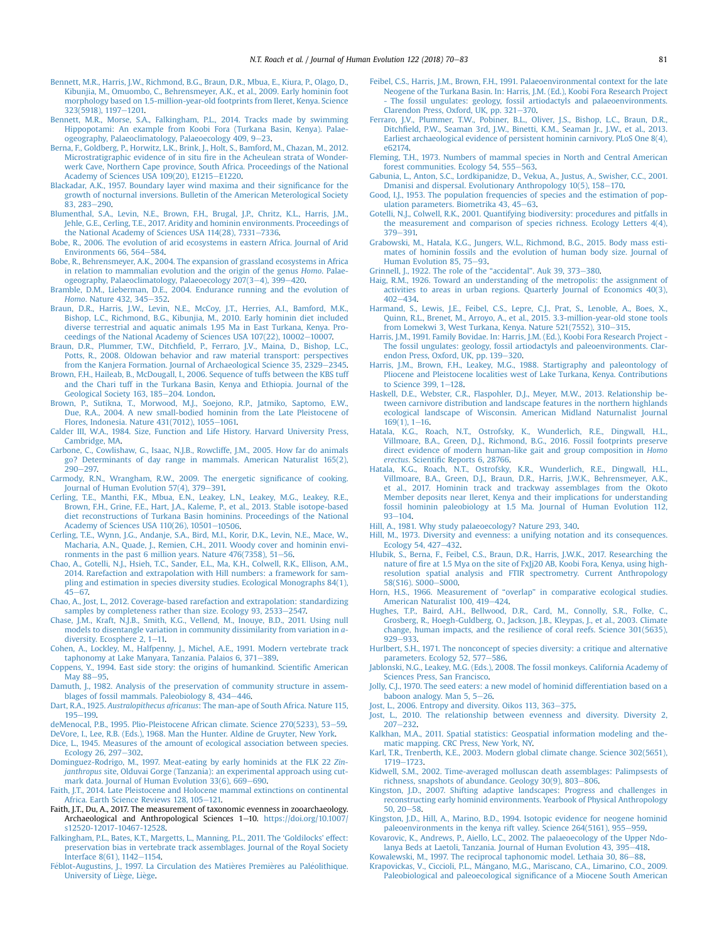- <span id="page-11-0"></span>[Bennett, M.R., Harris, J.W., Richmond, B.G., Braun, D.R., Mbua, E., Kiura, P., Olago, D.,](http://refhub.elsevier.com/S0047-2484(18)30148-9/sref13) [Kibunjia, M., Omuombo, C., Behrensmeyer, A.K., et al., 2009. Early hominin foot](http://refhub.elsevier.com/S0047-2484(18)30148-9/sref13) [morphology based on 1.5-million-year-old footprints from Ileret, Kenya. Science](http://refhub.elsevier.com/S0047-2484(18)30148-9/sref13) [323\(5918\), 1197](http://refhub.elsevier.com/S0047-2484(18)30148-9/sref13)-[1201.](http://refhub.elsevier.com/S0047-2484(18)30148-9/sref13)
- [Bennett, M.R., Morse, S.A., Falkingham, P.L., 2014. Tracks made by swimming](http://refhub.elsevier.com/S0047-2484(18)30148-9/sref14) [Hippopotami: An example from Koobi Fora \(Turkana Basin, Kenya\). Palae](http://refhub.elsevier.com/S0047-2484(18)30148-9/sref14)ogeography, Palaeoclimatology, Palaeoecology  $409, 9-23$ .
- [Berna, F., Goldberg, P., Horwitz, L.K., Brink, J., Holt, S., Bamford, M., Chazan, M., 2012.](http://refhub.elsevier.com/S0047-2484(18)30148-9/sref15) Microstratigraphic evidence of in situ fi[re in the Acheulean strata of Wonder](http://refhub.elsevier.com/S0047-2484(18)30148-9/sref15)[werk Cave, Northern Cape province, South Africa. Proceedings of the National](http://refhub.elsevier.com/S0047-2484(18)30148-9/sref15) Academy of Sciences USA  $109(20)$ , E1215-[E1220](http://refhub.elsevier.com/S0047-2484(18)30148-9/sref15).
- [Blackadar, A.K., 1957. Boundary layer wind maxima and their signi](http://refhub.elsevier.com/S0047-2484(18)30148-9/sref16)ficance for the [growth of nocturnal inversions. Bulletin of the American Meterological Society](http://refhub.elsevier.com/S0047-2484(18)30148-9/sref16)  $83, 283 - 290$  $83, 283 - 290$
- [Blumenthal, S.A., Levin, N.E., Brown, F.H., Brugal, J.P., Chritz, K.L., Harris, J.M.,](http://refhub.elsevier.com/S0047-2484(18)30148-9/sref17) [Jehle, G.E., Cerling, T.E., 2017. Aridity and hominin environments. Proceedings of](http://refhub.elsevier.com/S0047-2484(18)30148-9/sref17) the National Academy of Sciences USA  $114(28)$ ,  $7331-7336$ .
- [Bobe, R., 2006. The evolution of arid ecosystems in eastern Africa. Journal of Arid](http://refhub.elsevier.com/S0047-2484(18)30148-9/sref18) [Environments 66, 564](http://refhub.elsevier.com/S0047-2484(18)30148-9/sref18)-[584](http://refhub.elsevier.com/S0047-2484(18)30148-9/sref18).
- [Bobe, R., Behrensmeyer, A.K., 2004. The expansion of grassland ecosystems in Africa](http://refhub.elsevier.com/S0047-2484(18)30148-9/sref19) [in relation to mammalian evolution and the origin of the genus](http://refhub.elsevier.com/S0047-2484(18)30148-9/sref19) Homo. Palae[ogeography, Palaeoclimatology, Palaeoecology 207\(3](http://refhub.elsevier.com/S0047-2484(18)30148-9/sref19)-[4\), 399](http://refhub.elsevier.com/S0047-2484(18)30148-9/sref19)-[420.](http://refhub.elsevier.com/S0047-2484(18)30148-9/sref19)
- [Bramble, D.M., Lieberman, D.E., 2004. Endurance running and the evolution of](http://refhub.elsevier.com/S0047-2484(18)30148-9/sref20) Homo[. Nature 432, 345](http://refhub.elsevier.com/S0047-2484(18)30148-9/sref20)-[352](http://refhub.elsevier.com/S0047-2484(18)30148-9/sref20).
- [Braun, D.R., Harris, J.W., Levin, N.E., McCoy, J.T., Herries, A.I., Bamford, M.K.,](http://refhub.elsevier.com/S0047-2484(18)30148-9/sref21) [Bishop, L.C., Richmond, B.G., Kibunjia, M., 2010. Early hominin diet included](http://refhub.elsevier.com/S0047-2484(18)30148-9/sref21) [diverse terrestrial and aquatic animals 1.95 Ma in East Turkana, Kenya. Pro](http://refhub.elsevier.com/S0047-2484(18)30148-9/sref21)ceedings of the National Academy of Sciences USA  $107(22)$ ,  $10002-10007$ .
- Braun, D.R., Plummer, T.W., Ditchfi[eld, P., Ferraro, J.V., Maina, D., Bishop, L.C.,](http://refhub.elsevier.com/S0047-2484(18)30148-9/sref22) [Potts, R., 2008. Oldowan behavior and raw material transport: perspectives](http://refhub.elsevier.com/S0047-2484(18)30148-9/sref22) [from the Kanjera Formation. Journal of Archaeological Science 35, 2329](http://refhub.elsevier.com/S0047-2484(18)30148-9/sref22)-[2345](http://refhub.elsevier.com/S0047-2484(18)30148-9/sref22).
- [Brown, F.H., Haileab, B., McDougall, I., 2006. Sequence of tuffs between the KBS tuff](http://refhub.elsevier.com/S0047-2484(18)30148-9/sref23) [and the Chari tuff in the Turkana Basin, Kenya and Ethiopia. Journal of the](http://refhub.elsevier.com/S0047-2484(18)30148-9/sref23) [Geological Society 163, 185](http://refhub.elsevier.com/S0047-2484(18)30148-9/sref23)-[204. London.](http://refhub.elsevier.com/S0047-2484(18)30148-9/sref23)
- [Brown, P., Sutikna, T., Morwood, M.J., Soejono, R.P., Jatmiko, Saptomo, E.W.,](http://refhub.elsevier.com/S0047-2484(18)30148-9/sref24) [Due, R.A., 2004. A new small-bodied hominin from the Late Pleistocene of](http://refhub.elsevier.com/S0047-2484(18)30148-9/sref24) [Flores, Indonesia. Nature 431\(7012\), 1055](http://refhub.elsevier.com/S0047-2484(18)30148-9/sref24)-[1061.](http://refhub.elsevier.com/S0047-2484(18)30148-9/sref24)
- [Calder III, W.A., 1984. Size, Function and Life History. Harvard University Press,](http://refhub.elsevier.com/S0047-2484(18)30148-9/sref25) [Cambridge, MA](http://refhub.elsevier.com/S0047-2484(18)30148-9/sref25).
- [Carbone, C., Cowlishaw, G., Isaac, N.J.B., Rowcliffe, J.M., 2005. How far do animals](http://refhub.elsevier.com/S0047-2484(18)30148-9/sref26) [go? Determinants of day range in mammals. American Naturalist 165\(2\),](http://refhub.elsevier.com/S0047-2484(18)30148-9/sref26)  $290 - 297$  $290 - 297$
- [Carmody, R.N., Wrangham, R.W., 2009. The energetic signi](http://refhub.elsevier.com/S0047-2484(18)30148-9/sref27)ficance of cooking. [Journal of Human Evolution 57\(4\), 379](http://refhub.elsevier.com/S0047-2484(18)30148-9/sref27)-[391.](http://refhub.elsevier.com/S0047-2484(18)30148-9/sref27)
- [Cerling, T.E., Manthi, F.K., Mbua, E.N., Leakey, L.N., Leakey, M.G., Leakey, R.E.,](http://refhub.elsevier.com/S0047-2484(18)30148-9/sref28) [Brown, F.H., Grine, F.E., Hart, J.A., Kaleme, P., et al., 2013. Stable isotope-based](http://refhub.elsevier.com/S0047-2484(18)30148-9/sref28) [diet reconstructions of Turkana Basin hominins. Proceedings of the National](http://refhub.elsevier.com/S0047-2484(18)30148-9/sref28) [Academy of Sciences USA 110\(26\), 10501](http://refhub.elsevier.com/S0047-2484(18)30148-9/sref28)-[10506.](http://refhub.elsevier.com/S0047-2484(18)30148-9/sref28)
- [Cerling, T.E., Wynn, J.G., Andanje, S.A., Bird, M.I., Korir, D.K., Levin, N.E., Mace, W.,](http://refhub.elsevier.com/S0047-2484(18)30148-9/sref29) [Macharia, A.N., Quade, J., Remien, C.H., 2011. Woody cover and hominin envi](http://refhub.elsevier.com/S0047-2484(18)30148-9/sref29)ronments in the past 6 million years. Nature  $476(7358)$ , 51-[56.](http://refhub.elsevier.com/S0047-2484(18)30148-9/sref29)
- [Chao, A., Gotelli, N.J., Hsieh, T.C., Sander, E.L., Ma, K.H., Colwell, R.K., Ellison, A.M.,](http://refhub.elsevier.com/S0047-2484(18)30148-9/sref30) [2014. Rarefaction and extrapolation with Hill numbers: a framework for sam](http://refhub.elsevier.com/S0047-2484(18)30148-9/sref30)[pling and estimation in species diversity studies. Ecological Monographs 84\(1\),](http://refhub.elsevier.com/S0047-2484(18)30148-9/sref30)  $45 - 67.$  $45 - 67.$  $45 - 67.$
- [Chao, A., Jost, L., 2012. Coverage-based rarefaction and extrapolation: standardizing](http://refhub.elsevier.com/S0047-2484(18)30148-9/sref31) [samples by completeness rather than size. Ecology 93, 2533](http://refhub.elsevier.com/S0047-2484(18)30148-9/sref31)-[2547.](http://refhub.elsevier.com/S0047-2484(18)30148-9/sref31)
- [Chase, J.M., Kraft, N.J.B., Smith, K.G., Vellend, M., Inouye, B.D., 2011. Using null](http://refhub.elsevier.com/S0047-2484(18)30148-9/sref32) [models to disentangle variation in community dissimilarity from variation in](http://refhub.elsevier.com/S0047-2484(18)30148-9/sref32) adiversity. Ecosphere 2,  $1-11$ .
- [Cohen, A., Lockley, M., Halfpenny, J., Michel, A.E., 1991. Modern vertebrate track](http://refhub.elsevier.com/S0047-2484(18)30148-9/sref33) [taphonomy at Lake Manyara, Tanzania. Palaios 6, 371](http://refhub.elsevier.com/S0047-2484(18)30148-9/sref33)-[389](http://refhub.elsevier.com/S0047-2484(18)30148-9/sref33).
- [Coppens, Y., 1994. East side story: the origins of humankind. Scienti](http://refhub.elsevier.com/S0047-2484(18)30148-9/sref34)fic American [May 88](http://refhub.elsevier.com/S0047-2484(18)30148-9/sref34)-[95.](http://refhub.elsevier.com/S0047-2484(18)30148-9/sref34)
- [Damuth, J., 1982. Analysis of the preservation of community structure in assem](http://refhub.elsevier.com/S0047-2484(18)30148-9/sref35)[blages of fossil mammals. Paleobiology 8, 434](http://refhub.elsevier.com/S0047-2484(18)30148-9/sref35)-[446](http://refhub.elsevier.com/S0047-2484(18)30148-9/sref35).
- Dart, R.A., 1925. Australopithecus africanus[: The man-ape of South Africa. Nature 115,](http://refhub.elsevier.com/S0047-2484(18)30148-9/sref36) [195](http://refhub.elsevier.com/S0047-2484(18)30148-9/sref36)-[199.](http://refhub.elsevier.com/S0047-2484(18)30148-9/sref36)
- [deMenocal, P.B., 1995. Plio-Pleistocene African climate. Science 270\(5233\), 53](http://refhub.elsevier.com/S0047-2484(18)30148-9/sref37)-[59.](http://refhub.elsevier.com/S0047-2484(18)30148-9/sref37)
- [DeVore, I., Lee, R.B. \(Eds.\), 1968. Man the Hunter. Aldine de Gruyter, New York](http://refhub.elsevier.com/S0047-2484(18)30148-9/sref38). [Dice, L., 1945. Measures of the amount of ecological association between species.](http://refhub.elsevier.com/S0047-2484(18)30148-9/sref39)
- [Ecology 26, 297](http://refhub.elsevier.com/S0047-2484(18)30148-9/sref39)-[302.](http://refhub.elsevier.com/S0047-2484(18)30148-9/sref39) [Dominguez-Rodrigo, M., 1997. Meat-eating by early hominids at the FLK 22](http://refhub.elsevier.com/S0047-2484(18)30148-9/sref40) Zinjanthropus [site, Olduvai Gorge \(Tanzania\): an experimental approach using cut](http://refhub.elsevier.com/S0047-2484(18)30148-9/sref40)mark data. Journal of Human Evolution  $33(6)$ , 669-[690.](http://refhub.elsevier.com/S0047-2484(18)30148-9/sref40)
- [Faith, J.T., 2014. Late Pleistocene and Holocene mammal extinctions on continental](http://refhub.elsevier.com/S0047-2484(18)30148-9/sref41) [Africa. Earth Science Reviews 128, 105](http://refhub.elsevier.com/S0047-2484(18)30148-9/sref41)-[121.](http://refhub.elsevier.com/S0047-2484(18)30148-9/sref41)
- Faith, J.T., Du, A., 2017. The measurement of taxonomic evenness in zooarchaeology. Archaeological and Anthropological Sciences 1-10. [https://doi.org/10.1007/](https://doi.org/10.1007/s12520-12017-10467-12528) [s12520-12017-10467-12528](https://doi.org/10.1007/s12520-12017-10467-12528).
- [Falkingham, P.L., Bates, K.T., Margetts, L., Manning, P.L., 2011. The](http://refhub.elsevier.com/S0047-2484(18)30148-9/sref43) 'Goldilocks' effect: [preservation bias in vertebrate track assemblages. Journal of the Royal Society](http://refhub.elsevier.com/S0047-2484(18)30148-9/sref43) Interface  $8(61)$ ,  $1142-1154$  $1142-1154$ .
- Féblot-Augustins, J., 1997. La Circulation des Matières Premières au Palé[olithique.](http://refhub.elsevier.com/S0047-2484(18)30148-9/sref44) University of Liè[ge](http://refhub.elsevier.com/S0047-2484(18)30148-9/sref44), Liège.
- [Feibel, C.S., Harris, J.M., Brown, F.H., 1991. Palaeoenvironmental context for the late](http://refhub.elsevier.com/S0047-2484(18)30148-9/sref45) [Neogene of the Turkana Basin. In: Harris, J.M. \(Ed.\), Koobi Fora Research Project](http://refhub.elsevier.com/S0047-2484(18)30148-9/sref45) The fossil ungulates: geology, fossil artiodactyls and palaeoenvironments. Clarendon Press, Oxford, UK,  $pp$ ,  $321-370$ .
- [Ferraro, J.V., Plummer, T.W., Pobiner, B.L., Oliver, J.S., Bishop, L.C., Braun, D.R.,](http://refhub.elsevier.com/S0047-2484(18)30148-9/sref46) Ditchfi[eld, P.W., Seaman 3rd, J.W., Binetti, K.M., Seaman Jr., J.W., et al., 2013.](http://refhub.elsevier.com/S0047-2484(18)30148-9/sref46) [Earliest archaeological evidence of persistent hominin carnivory. PLoS One 8\(4\),](http://refhub.elsevier.com/S0047-2484(18)30148-9/sref46) [e62174.](http://refhub.elsevier.com/S0047-2484(18)30148-9/sref46)
- [Fleming, T.H., 1973. Numbers of mammal species in North and Central American](http://refhub.elsevier.com/S0047-2484(18)30148-9/sref47) [forest communities. Ecology 54, 555](http://refhub.elsevier.com/S0047-2484(18)30148-9/sref47)-[563.](http://refhub.elsevier.com/S0047-2484(18)30148-9/sref47)
- [Gabunia, L., Anton, S.C., Lordkipanidze, D., Vekua, A., Justus, A., Swisher, C.C., 2001.](http://refhub.elsevier.com/S0047-2484(18)30148-9/sref48) [Dmanisi and dispersal. Evolutionary Anthropology 10\(5\), 158](http://refhub.elsevier.com/S0047-2484(18)30148-9/sref48)-[170](http://refhub.elsevier.com/S0047-2484(18)30148-9/sref48).
- [Good, I.J., 1953. The population frequencies of species and the estimation of pop](http://refhub.elsevier.com/S0047-2484(18)30148-9/sref49)ulation parameters. Biometrika  $43, 45-63$ .
- [Gotelli, N.J., Colwell, R.K., 2001. Quantifying biodiversity: procedures and pitfalls in](http://refhub.elsevier.com/S0047-2484(18)30148-9/sref50) [the measurement and comparison of species richness. Ecology Letters 4\(4\),](http://refhub.elsevier.com/S0047-2484(18)30148-9/sref50)  $379 - 391$  $379 - 391$
- [Grabowski, M., Hatala, K.G., Jungers, W.L., Richmond, B.G., 2015. Body mass esti](http://refhub.elsevier.com/S0047-2484(18)30148-9/sref51)[mates of hominin fossils and the evolution of human body size. Journal of](http://refhub.elsevier.com/S0047-2484(18)30148-9/sref51) [Human Evolution 85, 75](http://refhub.elsevier.com/S0047-2484(18)30148-9/sref51)-[93.](http://refhub.elsevier.com/S0047-2484(18)30148-9/sref51)
- Grinnell, L. 1922. The role of the "accidental". Auk 39, 373-[380](http://refhub.elsevier.com/S0047-2484(18)30148-9/sref52).
- [Haig, R.M., 1926. Toward an understanding of the metropolis: the assignment of](http://refhub.elsevier.com/S0047-2484(18)30148-9/sref53) [activities to areas in urban regions. Quarterly Journal of Economics 40\(3\),](http://refhub.elsevier.com/S0047-2484(18)30148-9/sref53)  $402 - 434$  $402 - 434$  $402 - 434$
- [Harmand, S., Lewis, J.E., Feibel, C.S., Lepre, C.J., Prat, S., Lenoble, A., Boes, X.,](http://refhub.elsevier.com/S0047-2484(18)30148-9/sref54) [Quinn, R.L., Brenet, M., Arroyo, A., et al., 2015. 3.3-million-year-old stone tools](http://refhub.elsevier.com/S0047-2484(18)30148-9/sref54) [from Lomekwi 3, West Turkana, Kenya. Nature 521\(7552\), 310](http://refhub.elsevier.com/S0047-2484(18)30148-9/sref54)-[315.](http://refhub.elsevier.com/S0047-2484(18)30148-9/sref54)
- [Harris, J.M., 1991. Family Bovidae. In: Harris, J.M. \(Ed.\), Koobi Fora Research Project -](http://refhub.elsevier.com/S0047-2484(18)30148-9/sref55) [The fossil ungulates: geology, fossil artiodactyls and paleoenvironments. Clar](http://refhub.elsevier.com/S0047-2484(18)30148-9/sref55)[endon Press, Oxford, UK, pp. 139](http://refhub.elsevier.com/S0047-2484(18)30148-9/sref55)-[320.](http://refhub.elsevier.com/S0047-2484(18)30148-9/sref55)
- [Harris, J.M., Brown, F.H., Leakey, M.G., 1988. Startigraphy and paleontology of](http://refhub.elsevier.com/S0047-2484(18)30148-9/sref56) [Pliocene and Pleistocene localities west of Lake Turkana, Kenya. Contributions](http://refhub.elsevier.com/S0047-2484(18)30148-9/sref56) [to Science 399, 1](http://refhub.elsevier.com/S0047-2484(18)30148-9/sref56)-[128](http://refhub.elsevier.com/S0047-2484(18)30148-9/sref56).
- [Haskell, D.E., Webster, C.R., Flaspohler, D.J., Meyer, M.W., 2013. Relationship be](http://refhub.elsevier.com/S0047-2484(18)30148-9/sref57)[tween carnivore distribution and landscape features in the northern highlands](http://refhub.elsevier.com/S0047-2484(18)30148-9/sref57) [ecological landscape of Wisconsin. American Midland Naturnalist Journal](http://refhub.elsevier.com/S0047-2484(18)30148-9/sref57)  $169(1)$ ,  $1-16$ .
- [Hatala, K.G., Roach, N.T., Ostrofsky, K., Wunderlich, R.E., Dingwall, H.L.,](http://refhub.elsevier.com/S0047-2484(18)30148-9/sref58) [Villmoare, B.A., Green, D.J., Richmond, B.G., 2016. Fossil footprints preserve](http://refhub.elsevier.com/S0047-2484(18)30148-9/sref58) [direct evidence of modern human-like gait and group composition in](http://refhub.elsevier.com/S0047-2484(18)30148-9/sref58) Homo erectus. Scientifi[c Reports 6, 28766](http://refhub.elsevier.com/S0047-2484(18)30148-9/sref58).
- [Hatala, K.G., Roach, N.T., Ostrofsky, K.R., Wunderlich, R.E., Dingwall, H.L.,](http://refhub.elsevier.com/S0047-2484(18)30148-9/sref59) [Villmoare, B.A., Green, D.J., Braun, D.R., Harris, J.W.K., Behrensmeyer, A.K.,](http://refhub.elsevier.com/S0047-2484(18)30148-9/sref59) [et al., 2017. Hominin track and trackway assemblages from the Okoto](http://refhub.elsevier.com/S0047-2484(18)30148-9/sref59) [Member deposits near Ileret, Kenya and their implications for understanding](http://refhub.elsevier.com/S0047-2484(18)30148-9/sref59) [fossil hominin paleobiology at 1.5 Ma. Journal of Human Evolution 112,](http://refhub.elsevier.com/S0047-2484(18)30148-9/sref59)  $93 - 104.$  $93 - 104.$  $93 - 104.$
- [Hill, A., 1981. Why study palaeoecology? Nature 293, 340](http://refhub.elsevier.com/S0047-2484(18)30148-9/sref60).
- [Hill, M., 1973. Diversity and evenness: a unifying notation and its consequences.](http://refhub.elsevier.com/S0047-2484(18)30148-9/sref61) [Ecology 54, 427](http://refhub.elsevier.com/S0047-2484(18)30148-9/sref61)-[432.](http://refhub.elsevier.com/S0047-2484(18)30148-9/sref61)
- [Hlubik, S., Berna, F., Feibel, C.S., Braun, D.R., Harris, J.W.K., 2017. Researching the](http://refhub.elsevier.com/S0047-2484(18)30148-9/sref62) nature of fi[re at 1.5 Mya on the site of FxJj20 AB, Koobi Fora, Kenya, using high](http://refhub.elsevier.com/S0047-2484(18)30148-9/sref62)[resolution spatial analysis and FTIR spectrometry. Current Anthropology](http://refhub.elsevier.com/S0047-2484(18)30148-9/sref62) [58\(S16\). S000](http://refhub.elsevier.com/S0047-2484(18)30148-9/sref62)-[S000.](http://refhub.elsevier.com/S0047-2484(18)30148-9/sref62)
- [Horn, H.S., 1966. Measurement of](http://refhub.elsevier.com/S0047-2484(18)30148-9/sref63) "overlap" in comparative ecological studies. [American Naturalist 100, 419](http://refhub.elsevier.com/S0047-2484(18)30148-9/sref63)-[424](http://refhub.elsevier.com/S0047-2484(18)30148-9/sref63).
- [Hughes, T.P., Baird, A.H., Bellwood, D.R., Card, M., Connolly, S.R., Folke, C.,](http://refhub.elsevier.com/S0047-2484(18)30148-9/sref64) [Grosberg, R., Hoegh-Guldberg, O., Jackson, J.B., Kleypas, J., et al., 2003. Climate](http://refhub.elsevier.com/S0047-2484(18)30148-9/sref64) [change, human impacts, and the resilience of coral reefs. Science 301\(5635\),](http://refhub.elsevier.com/S0047-2484(18)30148-9/sref64) [929](http://refhub.elsevier.com/S0047-2484(18)30148-9/sref64)-[933](http://refhub.elsevier.com/S0047-2484(18)30148-9/sref64).
- [Hurlbert, S.H., 1971. The nonconcept of species diversity: a critique and alternative](http://refhub.elsevier.com/S0047-2484(18)30148-9/sref65) [parameters. Ecology 52, 577](http://refhub.elsevier.com/S0047-2484(18)30148-9/sref65)-[586.](http://refhub.elsevier.com/S0047-2484(18)30148-9/sref65)
- [Jablonski, N.G., Leakey, M.G. \(Eds.\), 2008. The fossil monkeys. California Academy of](http://refhub.elsevier.com/S0047-2484(18)30148-9/sref66) [Sciences Press, San Francisco](http://refhub.elsevier.com/S0047-2484(18)30148-9/sref66).
- [Jolly, C.J., 1970. The seed eaters: a new model of hominid differentiation based on a](http://refhub.elsevier.com/S0047-2484(18)30148-9/sref67) [baboon analogy. Man 5, 5](http://refhub.elsevier.com/S0047-2484(18)30148-9/sref67)-[26.](http://refhub.elsevier.com/S0047-2484(18)30148-9/sref67)
- [Jost, L., 2006. Entropy and diversity. Oikos 113, 363](http://refhub.elsevier.com/S0047-2484(18)30148-9/sref68)-[375.](http://refhub.elsevier.com/S0047-2484(18)30148-9/sref68)
- [Jost, L., 2010. The relationship between evenness and diversity. Diversity 2,](http://refhub.elsevier.com/S0047-2484(18)30148-9/sref69)  $207 - 232$  $207 - 232$
- [Kalkhan, M.A., 2011. Spatial statistics: Geospatial information modeling and the](http://refhub.elsevier.com/S0047-2484(18)30148-9/sref70)[matic mapping. CRC Press, New York, NY.](http://refhub.elsevier.com/S0047-2484(18)30148-9/sref70)
- [Karl, T.R., Trenberth, K.E., 2003. Modern global climate change. Science 302\(5651\),](http://refhub.elsevier.com/S0047-2484(18)30148-9/sref71) [1719](http://refhub.elsevier.com/S0047-2484(18)30148-9/sref71)-[1723.](http://refhub.elsevier.com/S0047-2484(18)30148-9/sref71)
- [Kidwell, S.M., 2002. Time-averaged molluscan death assemblages: Palimpsests of](http://refhub.elsevier.com/S0047-2484(18)30148-9/sref72) richness, snapshots of abundance. Geology  $30(9)$ ,  $803-806$ .
- [Kingston, J.D., 2007. Shifting adaptive landscapes: Progress and challenges in](http://refhub.elsevier.com/S0047-2484(18)30148-9/sref73) [reconstructing early hominid environments. Yearbook of Physical Anthropology](http://refhub.elsevier.com/S0047-2484(18)30148-9/sref73)  $50.20 - 58.$  $50.20 - 58.$
- [Kingston, J.D., Hill, A., Marino, B.D., 1994. Isotopic evidence for neogene hominid](http://refhub.elsevier.com/S0047-2484(18)30148-9/sref74) [paleoenvironments in the kenya rift valley. Science 264\(5161\), 955](http://refhub.elsevier.com/S0047-2484(18)30148-9/sref74)-[959.](http://refhub.elsevier.com/S0047-2484(18)30148-9/sref74)
- [Kovarovic, K., Andrews, P., Aiello, L.C., 2002. The palaeoecology of the Upper Ndo](http://refhub.elsevier.com/S0047-2484(18)30148-9/sref75)[lanya Beds at Laetoli, Tanzania. Journal of Human Evolution 43, 395](http://refhub.elsevier.com/S0047-2484(18)30148-9/sref75)-[418](http://refhub.elsevier.com/S0047-2484(18)30148-9/sref75).
- [Kowalewski, M., 1997. The reciprocal taphonomic model. Lethaia 30, 86](http://refhub.elsevier.com/S0047-2484(18)30148-9/sref76)-[88](http://refhub.elsevier.com/S0047-2484(18)30148-9/sref76).
- [Krapovickas, V., Ciccioli, P.L., M](http://refhub.elsevier.com/S0047-2484(18)30148-9/sref77)ángano, M.G., Mariscano, C.A., Limarino, C.O., 2009. [Paleobiological and paleoecological signi](http://refhub.elsevier.com/S0047-2484(18)30148-9/sref77)ficance of a Miocene South American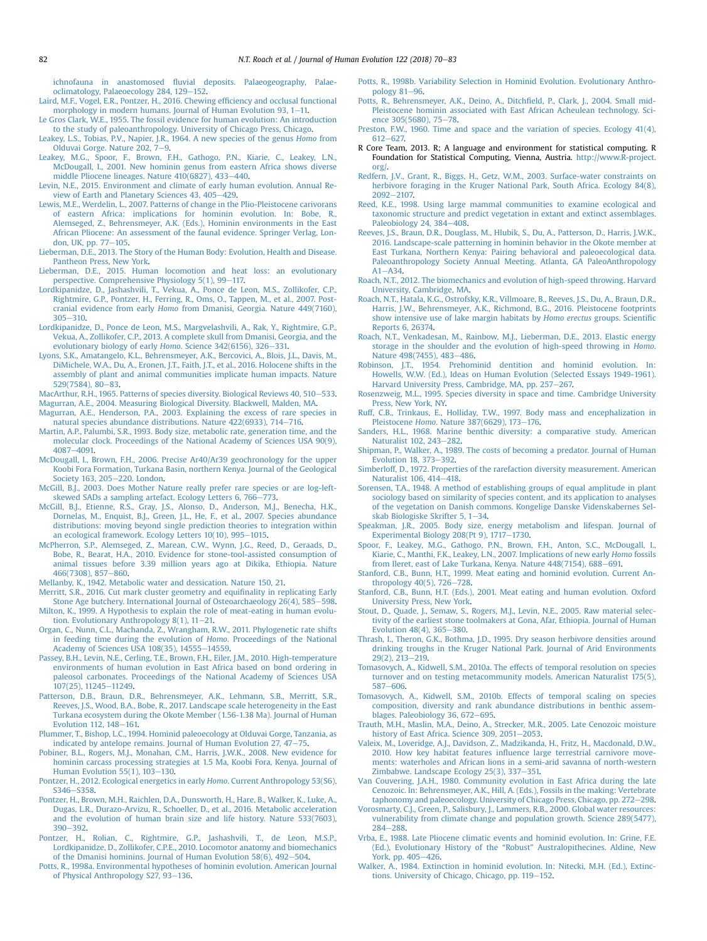<span id="page-12-0"></span>ichnofauna in anastomosed fl[uvial deposits. Palaeogeography, Palae](http://refhub.elsevier.com/S0047-2484(18)30148-9/sref77)[oclimatology, Palaeoecology 284, 129](http://refhub.elsevier.com/S0047-2484(18)30148-9/sref77)-[152.](http://refhub.elsevier.com/S0047-2484(18)30148-9/sref77)

- [Laird, M.F., Vogel, E.R., Pontzer, H., 2016. Chewing ef](http://refhub.elsevier.com/S0047-2484(18)30148-9/sref78)ficiency and occlusal functional morphology in modern humans. Journal of Human Evolution 93,  $1-11$ .
- [Le Gros Clark, W.E., 1955. The fossil evidence for human evolution: An introduction](http://refhub.elsevier.com/S0047-2484(18)30148-9/sref79) [to the study of paleoanthropology. University of Chicago Press, Chicago](http://refhub.elsevier.com/S0047-2484(18)30148-9/sref79).
- [Leakey, L.S., Tobias, P.V., Napier, J.R., 1964. A new species of the genus](http://refhub.elsevier.com/S0047-2484(18)30148-9/sref80) Homo from [Olduvai Gorge. Nature 202, 7](http://refhub.elsevier.com/S0047-2484(18)30148-9/sref80)-[9](http://refhub.elsevier.com/S0047-2484(18)30148-9/sref80).
- [Leakey, M.G., Spoor, F., Brown, F.H., Gathogo, P.N., Kiarie, C., Leakey, L.N.,](http://refhub.elsevier.com/S0047-2484(18)30148-9/sref81) [McDougall, I., 2001. New hominin genus from eastern Africa shows diverse](http://refhub.elsevier.com/S0047-2484(18)30148-9/sref81) [middle Pliocene lineages. Nature 410\(6827\), 433](http://refhub.elsevier.com/S0047-2484(18)30148-9/sref81)-[440](http://refhub.elsevier.com/S0047-2484(18)30148-9/sref81).
- [Levin, N.E., 2015. Environment and climate of early human evolution. Annual Re](http://refhub.elsevier.com/S0047-2484(18)30148-9/sref82)[view of Earth and Planetary Sciences 43, 405](http://refhub.elsevier.com/S0047-2484(18)30148-9/sref82)-[429.](http://refhub.elsevier.com/S0047-2484(18)30148-9/sref82)
- [Lewis, M.E., Werdelin, L., 2007. Patterns of change in the Plio-Pleistocene carivorans](http://refhub.elsevier.com/S0047-2484(18)30148-9/sref83) [of eastern Africa: implications for hominin evolution. In: Bobe, R.,](http://refhub.elsevier.com/S0047-2484(18)30148-9/sref83) [Alemseged, Z., Behrensmeyer, A.K. \(Eds.\), Hominin environments in the East](http://refhub.elsevier.com/S0047-2484(18)30148-9/sref83) [African Pliocene: An assessment of the faunal evidence. Springer Verlag, Lon](http://refhub.elsevier.com/S0047-2484(18)30148-9/sref83)don, UK, pp.  $77-105$ .
- [Lieberman, D.E., 2013. The Story of the Human Body: Evolution, Health and Disease.](http://refhub.elsevier.com/S0047-2484(18)30148-9/sref84) [Pantheon Press, New York.](http://refhub.elsevier.com/S0047-2484(18)30148-9/sref84)
- [Lieberman, D.E., 2015. Human locomotion and heat loss: an evolutionary](http://refhub.elsevier.com/S0047-2484(18)30148-9/sref85) [perspective. Comprehensive Physiology 5\(1\), 99](http://refhub.elsevier.com/S0047-2484(18)30148-9/sref85)-[117.](http://refhub.elsevier.com/S0047-2484(18)30148-9/sref85)
- [Lordkipanidze, D., Jashashvili, T., Vekua, A., Ponce de Leon, M.S., Zollikofer, C.P.,](http://refhub.elsevier.com/S0047-2484(18)30148-9/sref86) [Rightmire, G.P., Pontzer, H., Ferring, R., Oms, O., Tappen, M., et al., 2007. Post](http://refhub.elsevier.com/S0047-2484(18)30148-9/sref86)cranial evidence from early Homo [from Dmanisi, Georgia. Nature 449\(7160\),](http://refhub.elsevier.com/S0047-2484(18)30148-9/sref86)  $305 - 310$  $305 - 310$
- [Lordkipanidze, D., Ponce de Leon, M.S., Margvelashvili, A., Rak, Y., Rightmire, G.P.,](http://refhub.elsevier.com/S0047-2484(18)30148-9/sref87) [Vekua, A., Zollikofer, C.P., 2013. A complete skull from Dmanisi, Georgia, and the](http://refhub.elsevier.com/S0047-2484(18)30148-9/sref87) [evolutionary biology of early](http://refhub.elsevier.com/S0047-2484(18)30148-9/sref87) Homo. Science 342(6156), 326-[331.](http://refhub.elsevier.com/S0047-2484(18)30148-9/sref87)
- [Lyons, S.K., Amatangelo, K.L., Behrensmeyer, A.K., Bercovici, A., Blois, J.L., Davis, M.,](http://refhub.elsevier.com/S0047-2484(18)30148-9/sref88) [DiMichele, W.A., Du, A., Eronen, J.T., Faith, J.T., et al., 2016. Holocene shifts in the](http://refhub.elsevier.com/S0047-2484(18)30148-9/sref88) [assembly of plant and animal communities implicate human impacts. Nature](http://refhub.elsevier.com/S0047-2484(18)30148-9/sref88) [529\(7584\), 80](http://refhub.elsevier.com/S0047-2484(18)30148-9/sref88)-[83](http://refhub.elsevier.com/S0047-2484(18)30148-9/sref88).
- [MacArthur, R.H., 1965. Patterns of species diversity. Biological Reviews 40, 510](http://refhub.elsevier.com/S0047-2484(18)30148-9/sref89)-[533](http://refhub.elsevier.com/S0047-2484(18)30148-9/sref89).
- [Magurran, A.E., 2004. Measuring Biological Diversity. Blackwell, Malden, MA](http://refhub.elsevier.com/S0047-2484(18)30148-9/sref90). [Magurran, A.E., Henderson, P.A., 2003. Explaining the excess of rare species in](http://refhub.elsevier.com/S0047-2484(18)30148-9/sref91)
- [natural species abundance distributions. Nature 422\(6933\), 714](http://refhub.elsevier.com/S0047-2484(18)30148-9/sref91)-[716](http://refhub.elsevier.com/S0047-2484(18)30148-9/sref91). [Martin, A.P., Palumbi, S.R., 1993. Body size, metabolic rate, generation time, and the](http://refhub.elsevier.com/S0047-2484(18)30148-9/sref92)
- [molecular clock. Proceedings of the National Academy of Sciences USA 90\(9\),](http://refhub.elsevier.com/S0047-2484(18)30148-9/sref92) [4087](http://refhub.elsevier.com/S0047-2484(18)30148-9/sref92)-4091
- [McDougall, I., Brown, F.H., 2006. Precise Ar40/Ar39 geochronology for the upper](http://refhub.elsevier.com/S0047-2484(18)30148-9/sref93) [Koobi Fora Formation, Turkana Basin, northern Kenya. Journal of the Geological](http://refhub.elsevier.com/S0047-2484(18)30148-9/sref93) [Society 163, 205](http://refhub.elsevier.com/S0047-2484(18)30148-9/sref93)-[220. London](http://refhub.elsevier.com/S0047-2484(18)30148-9/sref93).
- [McGill, B.J., 2003. Does Mother Nature really prefer rare species or are log-left](http://refhub.elsevier.com/S0047-2484(18)30148-9/sref94)[skewed SADs a sampling artefact. Ecology Letters 6, 766](http://refhub.elsevier.com/S0047-2484(18)30148-9/sref94)-[773.](http://refhub.elsevier.com/S0047-2484(18)30148-9/sref94)
- [McGill, B.J., Etienne, R.S., Gray, J.S., Alonso, D., Anderson, M.J., Benecha, H.K.,](http://refhub.elsevier.com/S0047-2484(18)30148-9/sref95) [Dornelas, M., Enquist, B.J., Green, J.L., He, F., et al., 2007. Species abundance](http://refhub.elsevier.com/S0047-2484(18)30148-9/sref95) [distributions: moving beyond single prediction theories to integration within](http://refhub.elsevier.com/S0047-2484(18)30148-9/sref95) [an ecological framework. Ecology Letters 10\(10\), 995](http://refhub.elsevier.com/S0047-2484(18)30148-9/sref95)-[1015.](http://refhub.elsevier.com/S0047-2484(18)30148-9/sref95)
- [McPherron, S.P., Alemseged, Z., Marean, C.W., Wynn, J.G., Reed, D., Geraads, D.,](http://refhub.elsevier.com/S0047-2484(18)30148-9/sref96) [Bobe, R., Bearat, H.A., 2010. Evidence for stone-tool-assisted consumption of](http://refhub.elsevier.com/S0047-2484(18)30148-9/sref96) [animal tissues before 3.39 million years ago at Dikika, Ethiopia. Nature](http://refhub.elsevier.com/S0047-2484(18)30148-9/sref96) [466\(7308\), 857](http://refhub.elsevier.com/S0047-2484(18)30148-9/sref96)-[860](http://refhub.elsevier.com/S0047-2484(18)30148-9/sref96).
- [Mellanby, K., 1942. Metabolic water and dessication. Nature 150, 21.](http://refhub.elsevier.com/S0047-2484(18)30148-9/sref97)
- [Merritt, S.R., 2016. Cut mark cluster geometry and equi](http://refhub.elsevier.com/S0047-2484(18)30148-9/sref98)finality in replicating Early [Stone Age butchery. International Journal of Osteoarchaeology 26\(4\), 585](http://refhub.elsevier.com/S0047-2484(18)30148-9/sref98)-[598](http://refhub.elsevier.com/S0047-2484(18)30148-9/sref98).
- [Milton, K., 1999. A Hypothesis to explain the role of meat-eating in human evolu](http://refhub.elsevier.com/S0047-2484(18)30148-9/sref99)tion. Evolutionary Anthropology  $8(1)$ ,  $11-21$ .
- [Organ, C., Nunn, C.L., Machanda, Z., Wrangham, R.W., 2011. Phylogenetic rate shifts](http://refhub.elsevier.com/S0047-2484(18)30148-9/sref100) [in feeding time during the evolution of](http://refhub.elsevier.com/S0047-2484(18)30148-9/sref100) Homo. Proceedings of the National [Academy of Sciences USA 108\(35\), 14555](http://refhub.elsevier.com/S0047-2484(18)30148-9/sref100)-[14559](http://refhub.elsevier.com/S0047-2484(18)30148-9/sref100).
- [Passey, B.H., Levin, N.E., Cerling, T.E., Brown, F.H., Eiler, J.M., 2010. High-temperature](http://refhub.elsevier.com/S0047-2484(18)30148-9/sref101) [environments of human evolution in East Africa based on bond ordering in](http://refhub.elsevier.com/S0047-2484(18)30148-9/sref101) [paleosol carbonates. Proceedings of the National Academy of Sciences USA](http://refhub.elsevier.com/S0047-2484(18)30148-9/sref101) [107\(25\), 11245](http://refhub.elsevier.com/S0047-2484(18)30148-9/sref101)-[11249.](http://refhub.elsevier.com/S0047-2484(18)30148-9/sref101)
- [Patterson, D.B., Braun, D.R., Behrensmeyer, A.K., Lehmann, S.B., Merritt, S.R.,](http://refhub.elsevier.com/S0047-2484(18)30148-9/sref102) [Reeves, J.S., Wood, B.A., Bobe, R., 2017. Landscape scale heterogeneity in the East](http://refhub.elsevier.com/S0047-2484(18)30148-9/sref102) [Turkana ecosystem during the Okote Member \(1.56-1.38 Ma\). Journal of Human](http://refhub.elsevier.com/S0047-2484(18)30148-9/sref102) Evolution  $112, 148 - 161$ .
- [Plummer, T., Bishop, L.C., 1994. Hominid paleoecology at Olduvai Gorge, Tanzania, as](http://refhub.elsevier.com/S0047-2484(18)30148-9/sref103) indicated by antelope remains. Journal of Human Evolution  $27, 47-75$ .
- [Pobiner, B.L., Rogers, M.J., Monahan, C.M., Harris, J.W.K., 2008. New evidence for](http://refhub.elsevier.com/S0047-2484(18)30148-9/sref104) [hominin carcass processing strategies at 1.5 Ma, Koobi Fora, Kenya. Journal of](http://refhub.elsevier.com/S0047-2484(18)30148-9/sref104) Human Evolution  $55(1)$ ,  $103-130$ .
- [Pontzer, H., 2012. Ecological energetics in early](http://refhub.elsevier.com/S0047-2484(18)30148-9/sref105) Homo. Current Anthropology 53(S6), [S346](http://refhub.elsevier.com/S0047-2484(18)30148-9/sref105)-[S358](http://refhub.elsevier.com/S0047-2484(18)30148-9/sref105).
- [Pontzer, H., Brown, M.H., Raichlen, D.A., Dunsworth, H., Hare, B., Walker, K., Luke, A.,](http://refhub.elsevier.com/S0047-2484(18)30148-9/sref106) [Dugas, L.R., Durazo-Arvizu, R., Schoeller, D., et al., 2016. Metabolic acceleration](http://refhub.elsevier.com/S0047-2484(18)30148-9/sref106) [and the evolution of human brain size and life history. Nature 533\(7603\),](http://refhub.elsevier.com/S0047-2484(18)30148-9/sref106) [390](http://refhub.elsevier.com/S0047-2484(18)30148-9/sref106)-[392.](http://refhub.elsevier.com/S0047-2484(18)30148-9/sref106)
- [Pontzer, H., Rolian, C., Rightmire, G.P., Jashashvili, T., de Leon, M.S.P.,](http://refhub.elsevier.com/S0047-2484(18)30148-9/sref107) [Lordkipanidze, D., Zollikofer, C.P.E., 2010. Locomotor anatomy and biomechanics](http://refhub.elsevier.com/S0047-2484(18)30148-9/sref107) of the Dmanisi hominins. Journal of Human Evolution  $58(6)$ ,  $492-504$ .
- [Potts, R., 1998a. Environmental hypotheses of hominin evolution. American Journal](http://refhub.elsevier.com/S0047-2484(18)30148-9/sref108) [of Physical Anthropology S27, 93](http://refhub.elsevier.com/S0047-2484(18)30148-9/sref108)-[136.](http://refhub.elsevier.com/S0047-2484(18)30148-9/sref108)
- [Potts, R., 1998b. Variability Selection in Hominid Evolution. Evolutionary Anthro](http://refhub.elsevier.com/S0047-2484(18)30148-9/sref109)[pology 81](http://refhub.elsevier.com/S0047-2484(18)30148-9/sref109)-[96](http://refhub.elsevier.com/S0047-2484(18)30148-9/sref109).
- [Potts, R., Behrensmeyer, A.K., Deino, A., Ditch](http://refhub.elsevier.com/S0047-2484(18)30148-9/sref110)field, P., Clark, J., 2004. Small mid-[Pleistocene hominin associated with East African Acheulean technology. Sci](http://refhub.elsevier.com/S0047-2484(18)30148-9/sref110)[ence 305\(5680\), 75](http://refhub.elsevier.com/S0047-2484(18)30148-9/sref110)-[78](http://refhub.elsevier.com/S0047-2484(18)30148-9/sref110).
- [Preston, F.W., 1960. Time and space and the variation of species. Ecology 41\(4\),](http://refhub.elsevier.com/S0047-2484(18)30148-9/sref111)  $612 - 627$  $612 - 627$ .
- R Core Team, 2013. R; A language and environment for statistical computing. R Foundation for Statistical Computing, Vienna, Austria. [http://www.R-project.](http://www.R-project.org/) [org/](http://www.R-project.org/).
- [Redfern, J.V., Grant, R., Biggs, H., Getz, W.M., 2003. Surface-water constraints on](http://refhub.elsevier.com/S0047-2484(18)30148-9/sref113) [herbivore foraging in the Kruger National Park, South Africa. Ecology 84\(8\),](http://refhub.elsevier.com/S0047-2484(18)30148-9/sref113) [2092](http://refhub.elsevier.com/S0047-2484(18)30148-9/sref113)-[2107.](http://refhub.elsevier.com/S0047-2484(18)30148-9/sref113)
- [Reed, K.E., 1998. Using large mammal communities to examine ecological and](http://refhub.elsevier.com/S0047-2484(18)30148-9/sref114) [taxonomic structure and predict vegetation in extant and extinct assemblages.](http://refhub.elsevier.com/S0047-2484(18)30148-9/sref114) [Paleobiology 24, 384](http://refhub.elsevier.com/S0047-2484(18)30148-9/sref114)-[408.](http://refhub.elsevier.com/S0047-2484(18)30148-9/sref114)
- [Reeves, J.S., Braun, D.R., Douglass, M., Hlubik, S., Du, A., Patterson, D., Harris, J.W.K.,](http://refhub.elsevier.com/S0047-2484(18)30148-9/sref115) [2016. Landscape-scale patterning in hominin behavior in the Okote member at](http://refhub.elsevier.com/S0047-2484(18)30148-9/sref115) [East Turkana, Northern Kenya: Pairing behavioral and paleoecological data.](http://refhub.elsevier.com/S0047-2484(18)30148-9/sref115) [Paleoanthropology Society Annual Meeting. Atlanta, GA PaleoAnthropology](http://refhub.elsevier.com/S0047-2484(18)30148-9/sref115)  $A1 - A34$  $A1 - A34$
- [Roach, N.T., 2012. The biomechanics and evolution of high-speed throwing. Harvard](http://refhub.elsevier.com/S0047-2484(18)30148-9/sref116) [University, Cambridge, MA](http://refhub.elsevier.com/S0047-2484(18)30148-9/sref116).
- [Roach, N.T., Hatala, K.G., Ostrofsky, K.R., Villmoare, B., Reeves, J.S., Du, A., Braun, D.R.,](http://refhub.elsevier.com/S0047-2484(18)30148-9/sref117) [Harris, J.W., Behrensmeyer, A.K., Richmond, B.G., 2016. Pleistocene footprints](http://refhub.elsevier.com/S0047-2484(18)30148-9/sref117) [show intensive use of lake margin habitats by](http://refhub.elsevier.com/S0047-2484(18)30148-9/sref117) Homo erectus groups. Scientific [Reports 6, 26374.](http://refhub.elsevier.com/S0047-2484(18)30148-9/sref117)
- [Roach, N.T., Venkadesan, M., Rainbow, M.J., Lieberman, D.E., 2013. Elastic energy](http://refhub.elsevier.com/S0047-2484(18)30148-9/sref118) [storage in the shoulder and the evolution of high-speed throwing in](http://refhub.elsevier.com/S0047-2484(18)30148-9/sref118) Homo. [Nature 498\(7455\), 483](http://refhub.elsevier.com/S0047-2484(18)30148-9/sref118)-[486](http://refhub.elsevier.com/S0047-2484(18)30148-9/sref118).
- [Robinson, J.T., 1954. Prehominid dentition and hominid evolution. In:](http://refhub.elsevier.com/S0047-2484(18)30148-9/sref119) [Howells, W.W. \(Ed.\), Ideas on Human Evolution \(Selected Essays 1949-1961\).](http://refhub.elsevier.com/S0047-2484(18)30148-9/sref119) [Harvard University Press, Cambridge, MA, pp. 257](http://refhub.elsevier.com/S0047-2484(18)30148-9/sref119)-[267.](http://refhub.elsevier.com/S0047-2484(18)30148-9/sref119)
- [Rosenzweig, M.L., 1995. Species diversity in space and time. Cambridge University](http://refhub.elsevier.com/S0047-2484(18)30148-9/sref120) [Press, New York, NY](http://refhub.elsevier.com/S0047-2484(18)30148-9/sref120).
- [Ruff, C.B., Trinkaus, E., Holliday, T.W., 1997. Body mass and encephalization in](http://refhub.elsevier.com/S0047-2484(18)30148-9/sref121) Pleistocene Homo[. Nature 387\(6629\), 173](http://refhub.elsevier.com/S0047-2484(18)30148-9/sref121)-[176](http://refhub.elsevier.com/S0047-2484(18)30148-9/sref121).
- [Sanders, H.L., 1968. Marine benthic diversity: a comparative study. American](http://refhub.elsevier.com/S0047-2484(18)30148-9/sref122) [Naturalist 102, 243](http://refhub.elsevier.com/S0047-2484(18)30148-9/sref122)-[282](http://refhub.elsevier.com/S0047-2484(18)30148-9/sref122).
- [Shipman, P., Walker, A., 1989. The costs of becoming a predator. Journal of Human](http://refhub.elsevier.com/S0047-2484(18)30148-9/sref123) [Evolution 18, 373](http://refhub.elsevier.com/S0047-2484(18)30148-9/sref123)-[392](http://refhub.elsevier.com/S0047-2484(18)30148-9/sref123).
- [Simberloff, D., 1972. Properties of the rarefaction diversity measurement. American](http://refhub.elsevier.com/S0047-2484(18)30148-9/sref124) [Naturalist 106, 414](http://refhub.elsevier.com/S0047-2484(18)30148-9/sref124)-[418.](http://refhub.elsevier.com/S0047-2484(18)30148-9/sref124)
- [Sorensen, T.A., 1948. A method of establishing groups of equal amplitude in plant](http://refhub.elsevier.com/S0047-2484(18)30148-9/sref125) [sociology based on similarity of species content, and its application to analyses](http://refhub.elsevier.com/S0047-2484(18)30148-9/sref125) [of the vegetation on Danish commons. Kongelige Danske Videnskabernes Sel](http://refhub.elsevier.com/S0047-2484(18)30148-9/sref125)[skab Biologiske Skrifter 5, 1](http://refhub.elsevier.com/S0047-2484(18)30148-9/sref125)-[34](http://refhub.elsevier.com/S0047-2484(18)30148-9/sref125).
- [Speakman, J.R., 2005. Body size, energy metabolism and lifespan. Journal of](http://refhub.elsevier.com/S0047-2484(18)30148-9/sref126) [Experimental Biology 208\(Pt 9\), 1717](http://refhub.elsevier.com/S0047-2484(18)30148-9/sref126)-[1730.](http://refhub.elsevier.com/S0047-2484(18)30148-9/sref126)
- [Spoor, F., Leakey, M.G., Gathogo, P.N., Brown, F.H., Anton, S.C., McDougall, I.,](http://refhub.elsevier.com/S0047-2484(18)30148-9/sref127) [Kiarie, C., Manthi, F.K., Leakey, L.N., 2007. Implications of new early](http://refhub.elsevier.com/S0047-2484(18)30148-9/sref127) Homo fossils [from Ileret, east of Lake Turkana, Kenya. Nature 448\(7154\), 688](http://refhub.elsevier.com/S0047-2484(18)30148-9/sref127)-[691.](http://refhub.elsevier.com/S0047-2484(18)30148-9/sref127)
- [Stanford, C.B., Bunn, H.T., 1999. Meat eating and hominid evolution. Current An](http://refhub.elsevier.com/S0047-2484(18)30148-9/sref128)[thropology 40\(5\), 726](http://refhub.elsevier.com/S0047-2484(18)30148-9/sref128)-[728.](http://refhub.elsevier.com/S0047-2484(18)30148-9/sref128)
- [Stanford, C.B., Bunn, H.T. \(Eds.\), 2001. Meat eating and human evolution. Oxford](http://refhub.elsevier.com/S0047-2484(18)30148-9/sref129) [University Press, New York.](http://refhub.elsevier.com/S0047-2484(18)30148-9/sref129)
- [Stout, D., Quade, J., Semaw, S., Rogers, M.J., Levin, N.E., 2005. Raw material selec](http://refhub.elsevier.com/S0047-2484(18)30148-9/sref130)[tivity of the earliest stone toolmakers at Gona, Afar, Ethiopia. Journal of Human](http://refhub.elsevier.com/S0047-2484(18)30148-9/sref130) Evolution  $48(4)$ ,  $365-380$ .
- [Thrash, I., Theron, G.K., Bothma, J.D., 1995. Dry season herbivore densities around](http://refhub.elsevier.com/S0047-2484(18)30148-9/sref131) [drinking troughs in the Kruger National Park. Journal of Arid Environments](http://refhub.elsevier.com/S0047-2484(18)30148-9/sref131) [29\(2\), 213](http://refhub.elsevier.com/S0047-2484(18)30148-9/sref131)-[219](http://refhub.elsevier.com/S0047-2484(18)30148-9/sref131)
- [Tomasovych, A., Kidwell, S.M., 2010a. The effects of temporal resolution on species](http://refhub.elsevier.com/S0047-2484(18)30148-9/sref132) [turnover and on testing metacommunity models. American Naturalist 175\(5\),](http://refhub.elsevier.com/S0047-2484(18)30148-9/sref132) [587](http://refhub.elsevier.com/S0047-2484(18)30148-9/sref132)-[606](http://refhub.elsevier.com/S0047-2484(18)30148-9/sref132).
- [Tomasovych, A., Kidwell, S.M., 2010b. Effects of temporal scaling on species](http://refhub.elsevier.com/S0047-2484(18)30148-9/sref133) [composition, diversity and rank abundance distributions in benthic assem](http://refhub.elsevier.com/S0047-2484(18)30148-9/sref133)[blages. Paleobiology 36, 672](http://refhub.elsevier.com/S0047-2484(18)30148-9/sref133)-[695](http://refhub.elsevier.com/S0047-2484(18)30148-9/sref133).
- [Trauth, M.H., Maslin, M.A., Deino, A., Strecker, M.R., 2005. Late Cenozoic moisture](http://refhub.elsevier.com/S0047-2484(18)30148-9/sref134) [history of East Africa. Science 309, 2051](http://refhub.elsevier.com/S0047-2484(18)30148-9/sref134)-[2053.](http://refhub.elsevier.com/S0047-2484(18)30148-9/sref134)
- [Valeix, M., Loveridge, A.J., Davidson, Z., Madzikanda, H., Fritz, H., Macdonald, D.W.,](http://refhub.elsevier.com/S0047-2484(18)30148-9/sref135) 2010. How key habitat features infl[uence large terrestrial carnivore move](http://refhub.elsevier.com/S0047-2484(18)30148-9/sref135)[ments: waterholes and African lions in a semi-arid savanna of north-western](http://refhub.elsevier.com/S0047-2484(18)30148-9/sref135) [Zimbabwe. Landscape Ecology 25\(3\), 337](http://refhub.elsevier.com/S0047-2484(18)30148-9/sref135)-[351.](http://refhub.elsevier.com/S0047-2484(18)30148-9/sref135)
- [Van Couvering, J.A.H., 1980. Community evolution in East Africa during the late](http://refhub.elsevier.com/S0047-2484(18)30148-9/sref136) [Cenozoic. In: Behrensmeyer, A.K., Hill, A. \(Eds.\), Fossils in the making: Vertebrate](http://refhub.elsevier.com/S0047-2484(18)30148-9/sref136) [taphonomy and paleoecology. University of Chicago Press, Chicago, pp. 272](http://refhub.elsevier.com/S0047-2484(18)30148-9/sref136)-[298](http://refhub.elsevier.com/S0047-2484(18)30148-9/sref136).
- [Vorosmarty, C.J., Green, P., Salisbury, J., Lammers, R.B., 2000. Global water resources:](http://refhub.elsevier.com/S0047-2484(18)30148-9/sref137) [vulnerability from climate change and population growth. Science 289\(5477\),](http://refhub.elsevier.com/S0047-2484(18)30148-9/sref137) [284](http://refhub.elsevier.com/S0047-2484(18)30148-9/sref137)-[288.](http://refhub.elsevier.com/S0047-2484(18)30148-9/sref137)
- [Vrba, E., 1988. Late Pliocene climatic events and hominid evolution. In: Grine, F.E.](http://refhub.elsevier.com/S0047-2484(18)30148-9/sref138) [\(Ed.\), Evolutionary History of the](http://refhub.elsevier.com/S0047-2484(18)30148-9/sref138) "Robust" Australopithecines. Aldine, New [York, pp. 405](http://refhub.elsevier.com/S0047-2484(18)30148-9/sref138)-[426.](http://refhub.elsevier.com/S0047-2484(18)30148-9/sref138)
- [Walker, A., 1984. Extinction in hominid evolution. In: Nitecki, M.H. \(Ed.\), Extinc](http://refhub.elsevier.com/S0047-2484(18)30148-9/sref139)[tions. University of Chicago, Chicago, pp. 119](http://refhub.elsevier.com/S0047-2484(18)30148-9/sref139)-[152](http://refhub.elsevier.com/S0047-2484(18)30148-9/sref139).